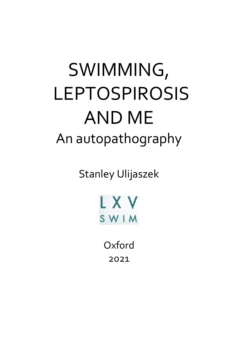# SWIMMING, LEPTOSPIROSIS AND ME An autopathography

Stanley Ulijaszek



**Oxford** 2021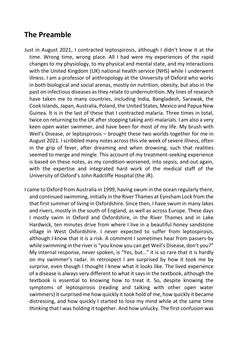# **The Preamble**

- Just in August 2021, I contracted leptospirosis, although I didn't know it at the time. Wrong time, wrong place. All I had were my experiences of the rapid changes to my physiology, to my physical and mental state, and my interactions with the United Kingdom (UK) national health service (NHS) while I underwent illness. I am a professor of anthropology at the University of Oxford who works in both biological and social arenas, mostly on nutrition, obesity, but also in the past on infectious diseases as they relate to undernutrition. My lines of research have taken me to many countries, including India, Bangladesh, Sarawak, the Cook Islands, Japan, Australia, Poland, the United States, Mexico and Papua New Guinea. It is in the last of these that I contracted malaria. Three times in total, twice on returning to the UK after stopping taking anti-malarials. I am also a very keen open water swimmer, and have been for most of my life. My brush with Weil's Disease, or leptospirosis – brought these two worlds together for me in August 2021. I scribbled many notes across this vile week of severe illness, often in the grip of fever, after dreaming and when drowsing, such that realities seemed to merge and mingle. This account of my treatment-seeking experience is based on these notes, as my condition worsened, into sepsis, and out again, with the expertise and integrated hard work of the medical staff of the University of Oxford's John Radcliffe Hospital (the JR).
- I came to Oxford from Australia in 1999, having swum in the ocean regularly there, and continued swimming, initially in the River Thames at Eynsham Lock from the that first summer of living in Oxfordshire. Since then, I have swum in many lakes and rivers, mostly in the south of England, as well as across Europe. These days I mostly swim in Oxford and Oxfordshire, in the River Thames and in Lake Hardwick, ten minutes drive from where I live in a beautiful honey sandstone village in West Oxfordshire. I never expected to suffer from leptospirosis, although I know that it is a risk. A comment I sometimes hear from passers-by while swimming in the river is "you know you can get Weil's Disease, don't you?" My internal response, never spoken, is "Yes, but…" it is so rare that it is hardly on my swimmer's radar. In retrospect I am surprised by how it took me by surprise, even though I thought I knew what it looks like. The lived experience of a disease is always very different to what it says in the textbook, although the textbook is essential to knowing how to treat it. So, despite knowing the symptoms of leptospirosis (reading and talking with other open water swimmers) it surprised me how quickly it took hold of me, how quickly it became distressing, and how quickly I started to lose my mind while at the same time thinking that I was holding it together. And how unlucky. The first confusion was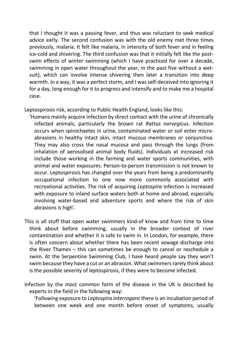that I thought it was a passing fever, and thus was reluctant to seek medical advice early. The second confusion was with the old enemy met three times previously, malaria. It felt like malaria, in intensity of both fever and in feeling ice-cold and shivering. The third confusion was that it initially felt like the postswim effects of winter swimming (which I have practiced for over a decade, swimming in open water throughout the year, in the past five without a wetsuit), which can involve intense shivering then later a transition into deep warmth. In a way, it was a perfect storm, and I was self-deceived into ignoring it for a day, long enough for it to progress and intensify and to make me a hospital case.

Leptospirosis risk, according to Public Health England, looks like this:

- 'Humans mainly acquire infection by direct contact with the urine of chronically infected animals, particularly the brown rat *Rattus norvegicus*. Infection occurs when spirochaetes in urine, contaminated water or soil enter microabrasions in healthy intact skin, intact mucous membranes or conjunctiva. They may also cross the nasal mucosa and pass through the lungs (from inhalation of aerosolised animal body fluids). Individuals at increased risk include those working in the farming and water sports communities, with animal and water exposures. Person-to-person transmission is not known to occur. Leptospirosis has changed over the years from being a predominantly occupational infection to one now more commonly associated with recreational activities. The risk of acquiring *Leptospira* infection is increased with exposure to inland surface waters both at home and abroad, especially involving water-based and adventure sports and where the risk of skin abrasions is high'.
- This is all stuff that open water swimmers kind-of know and from time to time think about before swimming, usually in the broader context of river contamination and whether it is safe to swim in. In London, for example, there is often concern about whether there has been recent sewage discharge into the River Thames – this can sometimes be enough to cancel or reschedule a swim. At the Serpentine Swimming Club, I have heard people say they won't swim because they have a cut or an abrasion. What swimmers rarely think about is the possible severity of leptospirosis, if they were to become infected.
- Infection by the most common form of the disease in the UK is described by experts in the field in the following way:

 'Following exposure to *Leptospira interrogans* there is an incubation period of between one week and one month before onset of symptoms, usually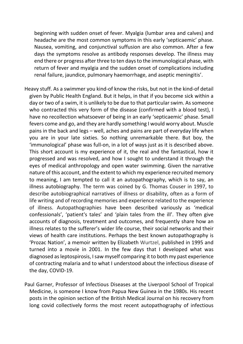beginning with sudden onset of fever. Myalgia (lumbar area and calves) and headache are the most common symptoms in this early 'septicaemic' phase. Nausea, vomiting, and conjunctival suffusion are also common. After a few days the symptoms resolve as antibody responses develop. The illness may end there or progress after three to ten days to the immunological phase, with return of fever and myalgia and the sudden onset of complications including renal failure, jaundice, pulmonary haemorrhage, and aseptic meningitis'.

- Heavy stuff. As a swimmer you kind-of know the risks, but not in the kind-of detail given by Public Health England. But it helps, in that if you become sick within a day or two of a swim, it is unlikely to be due to that particular swim. As someone who contracted this very form of the disease (confirmed with a blood test), I have no recollection whatsoever of being in an early 'septicaemic' phase. Small fevers come and go, and they are hardly something I would worry about. Muscle pains in the back and legs – well, aches and pains are part of everyday life when you are in your late sixties. So nothing unremarkable there. But boy, the 'immunological' phase was full-on, in a lot of ways just as it is described above. This short account is my experience of it, the real and the fantastical, how it progressed and was resolved, and how I sought to understand it through the eyes of medical anthropology and open water swimming. Given the narrative nature of this account, and the extent to which my experience recruited memory to meaning, I am tempted to call it an autopathography, which is to say, an illness autobiography. The term was coined by G. Thomas Couser in 1997, to describe autobiographical narratives of illness or disability, often as a form of life writing and of recording memories and experience related to the experience of illness. Autopathographies have been described variously as 'medical confessionals', 'patient's tales' and 'plain tales from the ill'. They often give accounts of diagnosis, treatment and outcomes, and frequently share how an illness relates to the sufferer's wider life course, their social networks and their views of health care institutions. Perhaps the best known autopathography is 'Prozac Nation', a memoir written by Elizabeth Wurtzel, published in 1995 and turned into a movie in 2001. In the few days that I developed what was diagnosed as leptospirosis, I saw myself comparing it to both my past experience of contracting malaria and to what I understood about the infectious disease of the day, COVID-19.
- Paul Garner, Professor of Infectious Diseases at the Liverpool School of Tropical Medicine, is someone I know from Papua New Guinea in the 1980s. His recent posts in the opinion section of the British Medical Journal on his recovery from long covid collectively forms the most recent autopathography of infectious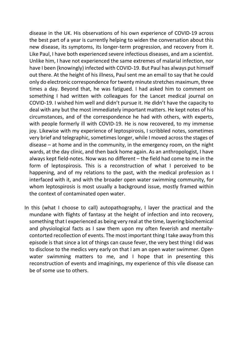disease in the UK. His observations of his own experience of COVID-19 across the best part of a year is currently helping to widen the conversation about this new disease, its symptoms, its longer-term progression, and recovery from it. Like Paul, I have both experienced severe infectious diseases, and am a scientist. Unlike him, I have not experienced the same extremes of malarial infection, nor have I been (knowingly) infected with COVID-19. But Paul has always put himself out there. At the height of his illness, Paul sent me an email to say that he could only do electronic correspondence for twenty minute stretches maximum, three times a day. Beyond that, he was fatigued. I had asked him to comment on something I had written with colleagues for the Lancet medical journal on COVID-19. I wished him well and didn't pursue it. He didn't have the capacity to deal with any but the most immediately important matters. He kept notes of his circumstances, and of the correspondence he had with others, with experts, with people formerly ill with COVID-19. He is now recovered, to my immense joy. Likewise with my experience of leptospirosis, I scribbled notes, sometimes very brief and telegraphic, sometimes longer, while I moved across the stages of disease – at home and in the community, in the emergency room, on the night wards, at the day clinic, and then back home again. As an anthropologist, I have always kept field-notes. Now was no different – the field had come to me in the form of leptospirosis. This is a reconstruction of what I perceived to be happening, and of my relations to the past, with the medical profession as I interfaced with it, and with the broader open water swimming community, for whom leptospirosis is most usually a background issue, mostly framed within the context of contaminated open water.

In this (what I choose to call) autopathography, I layer the practical and the mundane with flights of fantasy at the height of infection and into recovery, something that I experienced as being very real at the time, layering biochemical and physiological facts as I saw them upon my often feverish and mentallycontorted recollection of events. The most important thing I take away from this episode is that since a lot of things can cause fever, the very best thing I did was to disclose to the medics very early on that I am an open water swimmer. Open water swimming matters to me, and I hope that in presenting this reconstruction of events and imaginings, my experience of this vile disease can be of some use to others.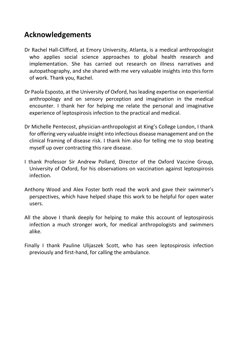# **Acknowledgements**

- Dr Rachel Hall-Clifford, at Emory University, Atlanta, is a medical anthropologist who applies social science approaches to global health research and implementation. She has carried out research on illness narratives and autopathography, and she shared with me very valuable insights into this form of work. Thank you, Rachel.
- Dr Paola Esposto, at the University of Oxford, has leading expertise on experiential anthropology and on sensory perception and imagination in the medical encounter. I thank her for helping me relate the personal and imaginative experience of leptospirosis infection to the practical and medical.
- Dr Michelle Pentecost, physician-anthropologist at King's College London, I thank for offering very valuable insight into infectious disease management and on the clinical framing of disease risk. I thank him also for telling me to stop beating myself up over contracting this rare disease.
- I thank Professor Sir Andrew Pollard, Director of the Oxford Vaccine Group, University of Oxford, for his observations on vaccination against leptospirosis infection.
- Anthony Wood and Alex Foster both read the work and gave their swimmer's perspectives, which have helped shape this work to be helpful for open water users.
- All the above I thank deeply for helping to make this account of leptospirosis infection a much stronger work, for medical anthropologists and swimmers alike.
- Finally I thank Pauline Ulijaszek Scott, who has seen leptospirosis infection previously and first-hand, for calling the ambulance.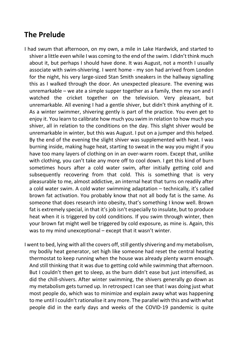# **The Prelude**

- I had swum that afternoon, on my own, a mile in Lake Hardwick, and started to shiver a little even while I was coming to the end of the swim. I didn't think much about it, but perhaps I should have done. It was August, not a month I usually associate with swim-shivering. I went home - my son had arrived from London for the night, his very large-sized Stan Smith sneakers in the hallway signalling this as I walked through the door. An unexpected pleasure. The evening was unremarkable – we ate a simple supper together as a family, then my son and I watched the cricket together on the television. Very pleasant, but unremarkable. All evening I had a gentle shiver, but didn't think anything of it. As a winter swimmer, shivering gently is part of the practice. You even get to enjoy it. You learn to calibrate how much you swim in relation to how much you shiver, all in relation to the conditions on the day. This slight shiver would be unremarkable in winter, but this was August. I put on a jumper and this helped. By the end of the evening the slight shiver was supplemented with heat. I was burning inside, making huge heat, starting to sweat in the way you might if you have too many layers of clothing on in an over-warm room. Except that, unlike with clothing, you can't take any more off to cool down. I get this kind of burn sometimes hours after a cold water swim, after initially getting cold and subsequently recovering from that cold. This is something that is very pleasurable to me, almost addictive, an internal heat that turns on readily after a cold water swim. A cold water swimming adaptation – technically, it's called brown fat activation. You probably know that not all body fat is the same. As someone that does research into obesity, that's something I know well. Brown fat is extremely special, in that it's job isn't especially to insulate, but to produce heat when it is triggered by cold conditions. If you swim through winter, then your brown fat might well be triggered by cold exposure, as mine is. Again, this was to my mind unexceptional – except that it wasn't winter.
- I went to bed, lying with all the covers off, still gently shivering and my metabolism, my bodily heat generator, set high like someone had reset the central heating thermostat to keep running when the house was already plenty warm enough. And still thinking that it was due to getting cold while swimming that afternoon. But I couldn't then get to sleep, as the burn didn't ease but just intensified, as did the chill-shivers. After winter swimming, the shivers generally go down as my metabolism gets turned up. In retrospect I can see that I was doing just what most people do, which was to minimize and explain away what was happening to me until I couldn't rationalise it any more. The parallel with this and with what people did in the early days and weeks of the COVID-19 pandemic is quite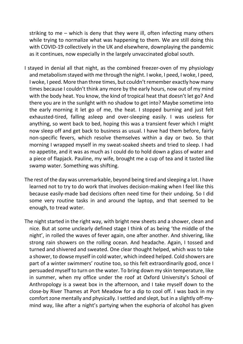striking to me – which is deny that they were ill, often infecting many others while trying to normalize what was happening to them. We are still doing this with COVID-19 collectively in the UK and elsewhere, downplaying the pandemic as it continues, now especially in the largely unvaccinated global south.

- I stayed in denial all that night, as the combined freezer-oven of my physiology and metabolism stayed with me through the night. I woke, I peed, I woke, I peed, I woke, I peed. More than three times, but couldn't remember exactly how many times because I couldn't think any more by the early hours, now out of my mind with the body heat. You know, the kind of tropical heat that doesn't let go? And there you are in the sunlight with no shadow to get into? Maybe sometime into the early morning it let go of me, the heat. I stopped burning and just felt exhausted-tired, falling asleep and over-sleeping easily. I was useless for anything, so went back to bed, hoping this was a transient fever which I might now sleep off and get back to business as usual. I have had them before, fairly non-specific fevers, which resolve themselves within a day or two. So that morning I wrapped myself in my sweat-soaked sheets and tried to sleep. I had no appetite, and it was as much as I could do to hold down a glass of water and a piece of flapjack. Pauline, my wife, brought me a cup of tea and it tasted like swamp water. Something was shifting.
- The rest of the day was unremarkable, beyond being tired and sleeping a lot. I have learned not to try to do work that involves decision-making when I feel like this because easily-made bad decisions often need time for their undoing. So I did some very routine tasks in and around the laptop, and that seemed to be enough, to tread water.
- The night started in the right way, with bright new sheets and a shower, clean and nice. But at some unclearly defined stage I think of as being 'the middle of the night', in rolled the waves of fever again, one after another. And shivering, like strong rain showers on the rolling ocean. And headache. Again, I tossed and turned and shivered and sweated. One clear thought helped, which was to take a shower, to dowse myself in cold water, which indeed helped. Cold showers are part of a winter swimmers' routine too, so this felt extraordinarily good, once I persuaded myself to turn on the water. To bring down my skin temperature, like in summer, when my office under the roof at Oxford University's School of Anthropology is a sweat box in the afternoon, and I take myself down to the close-by River Thames at Port Meadow for a dip to cool off. I was back in my comfort zone mentally and physically. I settled and slept, but in a slightly off-mymind way, like after a night's partying when the euphoria of alcohol has given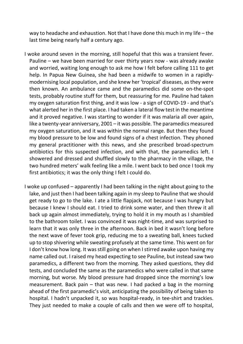way to headache and exhaustion. Not that I have done this much in my life – the last time being nearly half a century ago.

- I woke around seven in the morning, still hopeful that this was a transient fever. Pauline – we have been married for over thirty years now - was already awake and worried, waiting long enough to ask me how I felt before calling 111 to get help. In Papua New Guinea, she had been a midwife to women in a rapidlymodernising local population, and she knew her 'tropical' diseases, as they were then known. An ambulance came and the paramedics did some on-the-spot tests, probably routine stuff for them, but reassuring for me. Pauline had taken my oxygen saturation first thing, and it was low - a sign of COVID-19 - and that's what alerted her in the first place. I had taken a lateral flow test in the meantime and it proved negative. I was starting to wonder if it was malaria all over again, like a twenty-year anniversary, 2001 – it was possible. The paramedics measured my oxygen saturation, and it was within the normal range. But then they found my blood pressure to be low and found signs of a chest infection. They phoned my general practitioner with this news, and she prescribed broad-spectrum antibiotics for this suspected infection, and with that, the paramedics left. I showered and dressed and shuffled slowly to the pharmacy in the village, the two hundred meters' walk feeling like a mile. I went back to bed once I took my first antibiotics; it was the only thing I felt I could do.
- I woke up confused apparently I had been talking in the night about going to the lake, and just then I had been talking again in my sleep to Pauline that we should get ready to go to the lake. I ate a little flapjack, not because I was hungry but because I knew I should eat. I tried to drink some water, and then threw it all back up again almost immediately, trying to hold it in my mouth as I shambled to the bathroom toilet. I was convinced it was night-time, and was surprised to learn that it was only three in the afternoon. Back in bed it wasn't long before the next wave of fever took grip, reducing me to a sweating ball, knees tucked up to stop shivering while sweating profusely at the same time. This went on for I don't know how long. It was still going on when I stirred awake upon having my name called out. I raised my head expecting to see Pauline, but instead saw two paramedics, a different two from the morning. They asked questions, they did tests, and concluded the same as the paramedics who were called in that same morning, but worse. My blood pressure had dropped since the morning's low measurement. Back pain – that was new. I had packed a bag in the morning ahead of the first paramedic's visit, anticipating the possibility of being taken to hospital. I hadn't unpacked it, so was hospital-ready, in tee-shirt and trackies. They just needed to make a couple of calls and then we were off to hospital,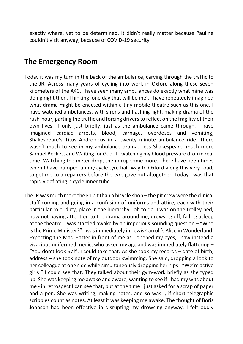exactly where, yet to be determined. It didn't really matter because Pauline couldn't visit anyway, because of COVID-19 security.

#### **The Emergency Room**

- Today it was my turn in the back of the ambulance, carving through the traffic to the JR. Across many years of cycling into work in Oxford along these seven kilometers of the A40, I have seen many ambulances do exactly what mine was doing right then. Thinking 'one day that will be me', I have repeatedly imagined what drama might be enacted within a tiny mobile theatre such as this one. I have watched ambulances, with sirens and flashing light, making drama of the rush-hour, parting the traffic and forcing drivers to reflect on the fragility of their own lives, if only just briefly, just as the ambulance came through. I have imagined cardiac arrests, blood, carnage, overdoses and vomiting, Shakespeare's Titus Andronicus in a twenty minute ambulance ride. There wasn't much to see in my ambulance drama. Less Shakespeare, much more Samuel Beckett and Waiting for Godot - watching my blood pressure drop in real time. Watching the meter drop, then drop some more. There have been times when I have pumped up my cycle tyre half-way to Oxford along this very road, to get me to a repairers before the tyre gave out altogether. Today I was that rapidly deflating bicycle inner tube.
- The JR was much more the F1 pit than a bicycle shop the pit crew were the clinical staff coming and going in a confusion of uniforms and attire, each with their particular role, duty, place in the hierarchy, job to do. I was on the trolley bed, now not paying attention to the drama around me, drowsing off, falling asleep at the theatre. I was startled awake by an imperious-sounding question – "Who is the Prime Minister?" I was immediately in Lewis Carroll's Alice in Wonderland. Expecting the Mad Hatter in front of me as I opened my eyes, I saw instead a vivacious uniformed medic, who asked my age and was immediately flattering – "You don't look 67!". I could take that. As she took my records – date of birth, address – she took note of my outdoor swimming. She said, dropping a look to her colleague at one side while simultaneously dropping her hips - "We're active girls!" I could see that. They talked about their gym-work briefly as she typed up. She was keeping me awake and aware, wanting to see if I had my wits about me - in retrospect I can see that, but at the time I just asked for a scrap of paper and a pen. She was writing, making notes, and so was I, if short telegraphic scribbles count as notes. At least it was keeping me awake. The thought of Boris Johnson had been effective in disrupting my drowsing anyway. I felt oddly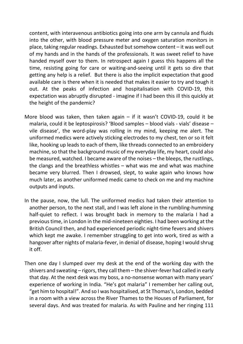content, with interavenous antibiotics going into one arm by cannula and fluids into the other, with blood pressure meter and oxygen saturation monitors in place, taking regular readings. Exhausted but somehow content – it was well out of my hands and in the hands of the professionals. It was sweet relief to have handed myself over to them. In retrospect again I guess this happens all the time, resisting going for care or waiting-and-seeing until it gets so dire that getting any help is a relief. But there is also the implicit expectation that good available care is there when it is needed that makes it easier to try and tough it out. At the peaks of infection and hospitalisation with COVID-19, this expectation was abruptly disrupted - imagine if I had been this ill this quickly at the height of the pandemic?

- More blood was taken, then taken again if it wasn't COVID-19, could it be malaria, could it be leptospirosis? 'Blood samples – blood vials - vials' disease – vile disease', the word-play was rolling in my mind, keeping me alert. The uniformed medics were actively sticking electrodes to my chest, ten or so it felt like, hooking up leads to each of them, like threads connected to an embroidery machine, so that the background music of my everyday life, my heart, could also be measured, watched. I became aware of the noises – the bleeps, the rustlings, the clangs and the breathless whistles – what was me and what was machine became very blurred. Then I drowsed, slept, to wake again who knows how much later, as another uniformed medic came to check on me and my machine outputs and inputs.
- In the pause, now, the lull. The uniformed medics had taken their attention to another person, to the next stall, and I was left alone in the rumbling-humming half-quiet to reflect. I was brought back in memory to the malaria I had a previous time, in London in the mid-nineteen eighties. I had been working at the British Council then, and had experienced periodic night-time fevers and shivers which kept me awake. I remember struggling to get into work, tired as with a hangover after nights of malaria-fever, in denial of disease, hoping I would shrug it off.
- Then one day I slumped over my desk at the end of the working day with the shivers and sweating – rigors, they call them – the shiver-fever had called in early that day. At the next desk was my boss, a no-nonsense woman with many years' experience of working in India. "He's got malaria" I remember her calling out, "get him to hospital!". And so I was hospitalised, at St Thomas's, London, bedded in a room with a view across the River Thames to the Houses of Parliament, for several days. And was treated for malaria. As with Pauline and her ringing 111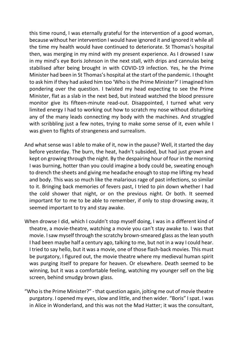this time round, I was eternally grateful for the intervention of a good woman, because without her intervention I would have ignored it and ignored it while all the time my health would have continued to deteriorate. St Thomas's hospital then, was merging in my mind with my present experience. As I drowsed I saw in my mind's eye Boris Johnson in the next stall, with drips and cannulas being stabilised after being brought in with COVID-19 infection. Yes, he the Prime Minister had been in St Thomas's hospital at the start of the pandemic. I thought to ask him if they had asked him too 'Who is the Prime Minister?' I imagined him pondering over the question. I twisted my head expecting to see the Prime Minister, flat as a slab in the next bed, but instead watched the blood pressure monitor give its fifteen-minute read-out. Disappointed, I turned what very limited energy I had to working out how to scratch my nose without disturbing any of the many leads connecting my body with the machines. And struggled with scribbling just a few notes, trying to make some sense of it, even while I was given to flights of strangeness and surrealism.

- And what sense was I able to make of it, now in the pause? Well, it started the day before yesterday. The burn, the heat, hadn't subsided, but had just grown and kept on growing through the night. By the despairing hour of four in the morning I was burning, hotter than you could imagine a body could be, sweating enough to drench the sheets and giving me headache enough to stop me lifting my head and body. This was so much like the malarious rage of past infections, so similar to it. Bringing back memories of fevers past, I tried to pin down whether I had the cold shower that night, or on the previous night. Or both. It seemed important for to me to be able to remember, if only to stop drowsing away, it seemed important to try and stay awake.
- When drowse I did, which I couldn't stop myself doing, I was in a different kind of theatre, a movie-theatre, watching a movie you can't stay awake to. I was that movie. I saw myself through the scratchy brown-smeared glass as the lean youth I had been maybe half a century ago, talking to me, but not in a way I could hear. I tried to say hello, but it was a movie, one of those flash-back movies. This must be purgatory, I figured out, the movie theatre where my medieval human spirit was purging itself to prepare for heaven. Or elsewhere. Death seemed to be winning, but it was a comfortable feeling, watching my younger self on the big screen, behind smudgy brown glass.
- "Who is the Prime Minister?" that question again, jolting me out of movie theatre purgatory. I opened my eyes, slow and little, and then wider. "Boris" I spat. I was in Alice in Wonderland, and this was not the Mad Hatter; it was the consultant,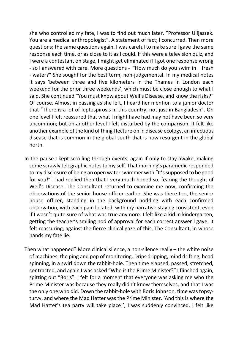she who controlled my fate, I was to find out much later. "Professor Ulijaszek. You are a medical anthropologist". A statement of fact; I concurred. Then more questions; the same questions again. I was careful to make sure I gave the same response each time, or as close to it as I could. If this were a television quiz, and I were a contestant on stage, I might get eliminated if I got one response wrong - so I answered with care. More questions - "How much do you swim in – fresh - water?" She sought for the best term, non-judgemental. In my medical notes it says 'between three and five kilometers in the Thames in London each weekend for the prior three weekends', which must be close enough to what I said. She continued "You must know about Weil's Disease, and know the risks?" Of course. Almost in passing as she left, I heard her mention to a junior doctor that "There is a lot of leptospirosis in this country, not just in Bangladesh". On one level I felt reassured that what I might have had may not have been so very uncommon; but on another level I felt disturbed by the comparison. It felt like another example of the kind of thing I lecture on in disease ecology, an infectious disease that is common in the global south that is now resurgent in the global north.

- In the pause I kept scrolling through events, again if only to stay awake, making some scrawly telegraphic notes to my self. That morning's paramedic responded to my disclosure of being an open water swimmer with "It's supposed to be good for you!" I had replied then that I very much hoped so, fearing the thought of Weil's Disease. The Consultant returned to examine me now, confirming the observations of the senior house officer earlier. She was there too, the senior house officer, standing in the background nodding with each confirmed observation, with each pain located, with my narrative staying consistent, even if I wasn't quite sure of what was true anymore. I felt like a kid in kindergarten, getting the teacher's smiling nod of approval for each correct answer I gave. It felt reassuring, against the fierce clinical gaze of this, The Consultant, in whose hands my fate lie.
- Then what happened? More clinical silence, a non-silence really the white noise of machines, the ping and pop of monitoring. Drips dripping, mind drifting, head spinning, in a swirl down the rabbit-hole. Then time elapsed, passed, stretched, contracted, and again I was asked "Who is the Prime Minister?" I flinched again, spitting out "Boris". I felt for a moment that everyone was asking me who the Prime Minister was because they really didn't know themselves, and that I was the only one who did. Down the rabbit-hole with Boris Johnson, time was topsyturvy, and where the Mad Hatter was the Prime Minister. 'And this is where the Mad Hatter's tea party will take place!', I was suddenly convinced. I felt like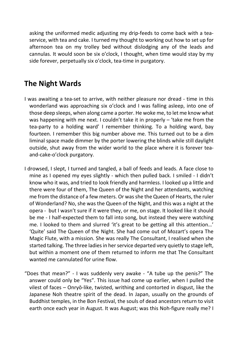asking the uniformed medic adjusting my drip-feeds to come back with a teaservice, with tea and cake. I turned my thought to working out how to set up for afternoon tea on my trolley bed without dislodging any of the leads and cannulas. It would soon be six o'clock, I thought, when time would stay by my side forever, perpetually six o'clock, tea-time in purgatory.

# **The Night Wards**

- I was awaiting a tea-set to arrive, with neither pleasure nor dread time in this wonderland was approaching six o'clock and I was falling asleep, into one of those deep sleeps, when along came a porter. He woke me, to let me know what was happening with me next. I couldn't take it in properly – 'take me from the tea-party to a holding ward' I remember thinking. To a holding ward, bay fourteen. I remember this big number above me. This turned out to be a dim liminal space made dimmer by the porter lowering the blinds while still daylight outside, shut away from the wider world to the place where it is forever teaand-cake-o'clock purgatory.
- I drowsed, I slept, I turned and tangled, a ball of feeds and leads. A face close to mine as I opened my eyes slightly - which then pulled back. I smiled - I didn't know who it was, and tried to look friendly and harmless. I looked up a little and there were four of them, The Queen of the Night and her attendants, watching me from the distance of a few meters. Or was she the Queen of Hearts, the ruler of Wonderland? No, she was the Queen of the Night, and this was a night at the opera - but I wasn't sure if it were they, or me, on stage. It looked like it should be me - I half-expected them to fall into song, but instead they were watching me. I looked to them and slurred 'it's great to be getting all this attention…' 'Quite' said The Queen of the Night. She had come out of Mozart's opera The Magic Flute, with a mission. She was really The Consultant, I realised when she started talking. The three ladies in her service departed very quietly to stage left, but within a moment one of them returned to inform me that The Consultant wanted me cannulated for urine flow.
- "Does that mean?" I was suddenly very awake "A tube up the penis?" The answer could only be "Yes". This issue had come up earlier, when I pulled the vilest of faces – Onryō-like, twisted, writhing and contorted in disgust, like the Japanese Noh theatre spirit of the dead. In Japan, usually on the grounds of Buddhist temples, in the Bon Festival, the souls of dead ancestors return to visit earth once each year in August. It was August; was this Noh-figure really me? I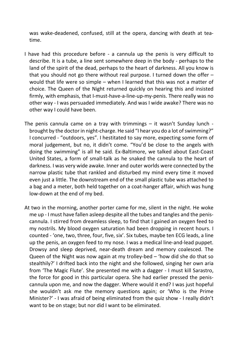was wake-deadened, confused, still at the opera, dancing with death at teatime.

- I have had this procedure before a cannula up the penis is very difficult to describe. It is a tube, a line sent somewhere deep in the body - perhaps to the land of the spirit of the dead, perhaps to the heart of darkness. All you know is that you should not go there without real purpose. I turned down the offer – would that life were so simple – when I learned that this was not a matter of choice. The Queen of the Night returned quickly on hearing this and insisted firmly, with emphasis, that I-must-have-a-line-up-my-penis. There really was no other way - I was persuaded immediately. And was I wide awake? There was no other way I could have been.
- The penis cannula came on a tray with trimmings it wasn't Sunday lunch brought by the doctor in night-charge. He said "I hear you do a lot of swimming?" I concurred - "outdoors, yes". I hestitated to say more, expecting some form of moral judgement, but no, it didn't come. "You'd be close to the angels with doing the swimming" is all he said. Ex-Baltimore, we talked about East-Coast United States, a form of small-talk as he snaked the cannula to the heart of darkness. I was very wide awake. Inner and outer worlds were connected by the narrow plastic tube that rankled and disturbed my mind every time it moved even just a little. The downstream end of the small plastic tube was attached to a bag and a meter, both held together on a coat-hanger affair, which was hung low-down at the end of my bed.
- At two in the morning, another porter came for me, silent in the night. He woke me up - I must have fallen asleep despite all the tubes and tangles and the peniscannula. I stirred from dreamless sleep, to find that I gained an oxygen feed to my nostrils. My blood oxygen saturation had been dropping in recent hours. I counted - 'one, two, three, four, five, six'. Six tubes, maybe ten ECG leads, a line up the penis, an oxygen feed to my nose. I was a medical line-and-lead puppet. Drowsy and sleep deprived, near-death dream and memory coalesced. The Queen of the Night was now again at my trolley-bed – 'how did she do that so stealthily?' I drifted back into the night and she followed, singing her own aria from 'The Magic Flute'. She presented me with a dagger - I must kill Sarastro, the force for good in this particular opera. She had earlier pressed the peniscannula upon me, and now the dagger. Where would it end? I was just hopeful she wouldn't ask me the memory questions again; or 'Who is the Prime Minister?' - I was afraid of being eliminated from the quiz show - I really didn't want to be on stage; but nor did I want to be eliminated.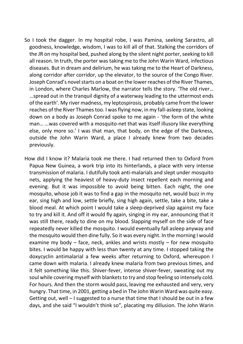- So I took the dagger. In my hospital robe, I was Pamina, seeking Sarastro, all goodness, knowledge, wisdom, I was to kill all of that. Stalking the corridors of the JR on my hospital bed, pushed along by the silent night porter, seeking to kill all reason. In truth, the porter was taking me to the John Warin Ward, infectious diseases. But in dream and delirium, he was taking me to the Heart of Darkness, along corridor after corridor, up the elevator, to the source of the Congo River. Joseph Conrad's novel starts on a boat on the lower reaches of the River Thames, in London, where Charles Marlow, the narrator tells the story. 'The old river… …spread out in the tranquil dignity of a waterway leading to the uttermost ends of the earth'. My river madness, my leptospirosis, probably came from the lower reaches of the River Thames too. I was flying now, in my fall-asleep state, looking down on a body as Joseph Conrad spoke to me again - 'the form of the white man… …was covered with a mosquito-net that was itself illusory like everything else, only more so.' I was that man, that body, on the edge of the Darkness, outside the John Warin Ward, a place I already knew from two decades previously.
- How did I know it? Malaria took me there. I had returned then to Oxford from Papua New Guinea, a work trip into its hinterlands, a place with very intense transmission of malaria. I dutifully took anti-malarials and slept under mosquito nets, applying the heaviest of heavy-duty insect repellent each morning and evening. But it was impossible to avoid being bitten. Each night, the one mosquito, whose job it was to find a gap in the mosquito net, would buzz in my ear, sing high and low, settle briefly, sing high again, settle, take a bite, take a blood meal. At which point I would take a sleep-deprived slap against my face to try and kill it. And off it would fly again, singing in my ear, announcing that it was still there, ready to dine on my blood. Slapping myself on the side of face repeatedly never killed the mosquito. I would eventually fall asleep anyway and the mosquito would then dine fully. So it was every night. In the morning I would examine my body – face, neck, ankles and wrists mostly – for new mosquito bites. I would be happy with less than twenty at any time. I stopped taking the doxycyclin antimalarial a few weeks after returning to Oxford, whereupon I came down with malaria. I already knew malaria from two previous times, and it felt something like this. Shiver-fever, intense shiver-fever, sweating out my soul while covering myself with blankets to try and stop feeling so intensely cold. For hours. And then the storm would pass, leaving me exhausted and very, very hungry. That time, in 2001, getting a bed in The John Warin Ward was quite easy. Getting out, well – I suggested to a nurse that time that I should be out in a few days, and she said "I wouldn't think so", placating my dillusion. The John Warin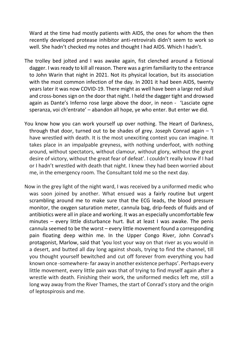Ward at the time had mostly patients with AIDS, the ones for whom the then recently developed protease inhibitor anti-retrovirals didn't seem to work so well. She hadn't checked my notes and thought I had AIDS. Which I hadn't.

- The trolley bed jolted and I was awake again, fist clenched around a fictional dagger. I was ready to kill all reason. There was a grim familiarity to the entrance to John Warin that night in 2021. Not its physical location, but its association with the most common infection of the day. In 2001 it had been AIDS, twenty years later it was now COVID-19. There might as well have been a large red skull and cross-bones sign on the door that night. I held the dagger tight and drowsed again as Dante's Inferno rose large above the door, in neon - 'Lasciate ogne speranza, voi ch'entrate' – abandon all hope, ye who enter. But enter we did.
- You know how you can work yourself up over nothing. The Heart of Darkness, through that door, turned out to be shades of grey. Joseph Conrad again – 'I have wrestled with death. It is the most unexciting contest you can imagine. It takes place in an impalpable greyness, with nothing underfoot, with nothing around, without spectators, without clamour, without glory, without the great desire of victory, without the great fear of defeat'. I couldn't really know if I had or I hadn't wrestled with death that night. I knew they had been worried about me, in the emergency room. The Consultant told me so the next day.
- Now in the grey light of the night ward, I was received by a uniformed medic who was soon joined by another. What ensued was a fairly routine but urgent scrambling around me to make sure that the ECG leads, the blood pressure monitor, the oxygen saturation meter, cannula bag, drip-feeds of fluids and of antibiotics were all in place and working. It was an especially uncomfortable few minutes – every little disturbance hurt. But at least I was awake. The penis cannula seemed to be the worst – every little movement found a corresponding pain floating deep within me. In the Upper Congo River, John Conrad's protagonist, Marlow, said that 'you lost your way on that river as you would in a desert, and butted all day long against shoals, trying to find the channel, till you thought yourself bewitched and cut off forever from everything you had known once -somewhere- far away in another existence perhaps'. Perhaps every little movement, every little pain was that of trying to find myself again after a wrestle with death. Finishing their work, the uniformed medics left me, still a long way away from the River Thames, the start of Conrad's story and the origin of leptospirosis and me.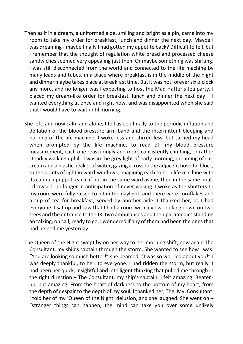- Then as if in a dream, a uniformed aide, smiling and bright as a pin, came into my room to take my order for breakfast, lunch and dinner the next day. Maybe I was dreaming - maybe finally I had gotten my appetite back? Difficult to tell, but I remember that the thought of regulation white bread and processed cheese sandwiches seemed very appealing just then. Or maybe something was shifting. I was still disconnected from the world and connected to the life machine by many leads and tubes, in a place where breakfast is in the middle of the night and dinner maybe takes place at breakfast time. But it was not forever six o'clock any more, and no longer was I expecting to host the Mad Hatter's tea party. I placed my dream-like order for breakfast, lunch and dinner the next day – I wanted everything at once and right now, and was disappointed when she said that I would have to wait until morning.
- She left, and now calm and alone, I fell asleep finally to the periodic inflation and deflation of the blood pressure arm band and the intermittent bleeping and burping of the life machine. I woke less and stirred less, but turned my head when prompted by the life machine, to read off my blood pressure measurement, each one reassuringly and more consistently climbing, or rather steadily walking uphill. I was in the grey light of early morning, dreaming of icecream and a plastic beaker of water, gazing across to the adjacent hospital block, to the points of light in ward-windows, imagining each to be a life machine with its cannula puppet, each, if not in the same ward as me, then in the same boat. I drowsed, no longer in anticipation of never waking. I woke as the shutters to my room were fully raised to let in the daylight, and there were cornflakes and a cup of tea for breakfast, served by another aide. I thanked her, as I had everyone. I sat up and saw that I had a room with a view, looking down on two trees and the entrance to the JR, two ambulances and their paramedics standing an talking, on call, ready to go. I wondered if any of them had been the ones that had helped me yesterday.
- The Queen of the Night swept by on her way to her morning shift, now again The Consultant, my ship's captain through the storm. She wanted to see how I was. "You are looking so much better!" she beamed. "I was so worried about you!" I was deeply thankful, to her, to everyone. I had ridden the storm, but really it had been her quick, insightful and intelligent thinking that pulled me through in the right direction – The Consultant, my ship's captain. I felt amazing. Beatenup, but amazing. From the heart of darkness to the bottom of my heart, from the depth of despair to the depth of my soul, I thanked her, The, My, Consultant. I told her of my 'Queen of the Night' delusion, and she laughed. She went on – "stranger things can happen; the mind can take you over some unlikely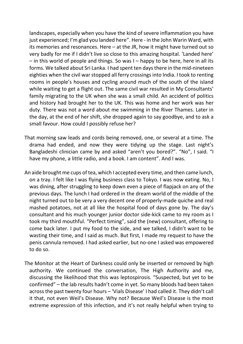landscapes, especially when you have the kind of severe inflammation you have just experienced; I'm glad you landed here". Here - in the John Warin Ward, with its memories and resonances. Here – at the JR, how it might have turned out so very badly for me if I didn't live so close to this amazing hospital. 'Landed here' – in this world of people and things. So was I – happy to be here, here in all its forms. We talked about Sri Lanka. I had spent ten days there in the mid-nineteen eighties when the civil war stopped all ferry crossings into India. I took to renting rooms in people's houses and cycling around much of the south of the island while waiting to get a flight out. The same civil war resulted in My Consultants' family migrating to the UK when she was a small child. An accident of politics and history had brought her to the UK. This was home and her work was her duty. There was not a word about me swimming in the River Thames. Later in the day, at the end of her shift, she dropped again to say goodbye, and to ask a small favour. How could I possibly refuse her?

- That morning saw leads and cords being removed, one, or several at a time. The drama had ended, and now they were tidying up the stage. Last night's Bangladeshi clinician came by and asked "aren't you bored?". "No", I said. "I have my phone, a little radio, and a book. I am content". And I was.
- An aide brought me cups of tea, which I accepted every time, and then came lunch, on a tray. I felt like I was flying business class to Tokyo. I was now eating. No, I was dining, after struggling to keep down even a piece of flapjack on any of the previous days. The lunch I had ordered in the dream world of the middle of the night turned out to be very a very decent one of properly-made quiche and real mashed potatoes, not at all like the hospital food of days gone by. The day's consultant and his much younger junior doctor side-kick came to my room as I took my third mouthful. "Perfect timing", said the (new) consultant, offering to come back later. I put my food to the side, and we talked, I didn't want to be wasting their time, and I said as much. But first, I made my request to have the penis cannula removed. I had asked earlier, but no-one I asked was empowered to do so.
- The Monitor at the Heart of Darkness could only be inserted or removed by high authority. We continued the conversation, The High Authority and me, discussing the likelihood that this was leptospirosis. "Suspected, but yet to be confirmed" – the lab results hadn't come in yet. So many bloods had been taken across the past twenty four hours – 'Vials Disease' I had called it. They didn't call it that, not even Weil's Disease. Why not? Because Weil's Disease is the most extreme expression of this infection, and it's not really helpful when trying to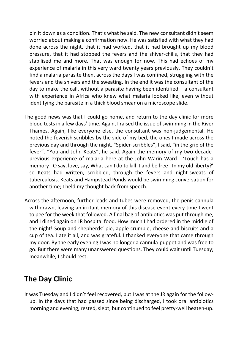pin it down as a condition. That's what he said. The new consultant didn't seem worried about making a confirmation now. He was satisfied with what they had done across the night, that it had worked, that it had brought up my blood pressure, that it had stopped the fevers and the shiver-chills, that they had stabilised me and more. That was enough for now. This had echoes of my experience of malaria in this very ward twenty years previously. They couldn't find a malaria parasite then, across the days I was confined, struggling with the fevers and the shivers and the sweating. In the end it was the consultant of the day to make the call, without a parasite having been identified  $-$  a consultant with experience in Africa who knew what malaria looked like, even without identifying the parasite in a thick blood smear on a microscope slide.

- The good news was that I could go home, and return to the day clinic for more blood tests in a few days' time. Again, I raised the issue of swimming in the River Thames. Again, like everyone else, the consultant was non-judgemental. He noted the feverish scribbles by the side of my bed, the ones I made across the previous day and through the night. "Spider-scribbles", I said, "in the grip of the fever". "You and John Keats", he said. Again the memory of my two decadeprevious experience of malaria here at the John Warin Ward - 'Touch has a memory - O say, love, say, What can I do to kill it and be free - In my old liberty?' so Keats had written, scribbled, through the fevers and night-sweats of tuberculosis. Keats and Hampstead Ponds would be swimming conversation for another time; I held my thought back from speech.
- Across the afternoon, further leads and tubes were removed, the penis-cannula withdrawn, leaving an irritant memory of this disease event every time I went to pee for the week that followed. A final bag of antibiotics was put through me, and I dined again on JR hospital food. How much I had ordered in the middle of the night! Soup and shepherds' pie, apple crumble, cheese and biscuits and a cup of tea. I ate it all, and was grateful. I thanked everyone that came through my door. By the early evening I was no longer a cannula-puppet and was free to go. But there were many unanswered questions. They could wait until Tuesday; meanwhile, I should rest.

## **The Day Clinic**

It was Tuesday and I didn't feel recovered, but I was at the JR again for the followup. In the days that had passed since being discharged, I took oral antibiotics morning and evening, rested, slept, but continued to feel pretty-well beaten-up.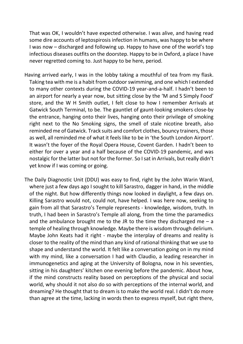That was OK, I wouldn't have expected otherwise. I was alive, and having read some dire accounts of leptospirosis infection in humans, was happy to be where I was now – discharged and following up. Happy to have one of the world's top infectious diseases outfits on the doorstep. Happy to be in Oxford, a place I have never regretted coming to. Just happy to be here, period.

- Having arrived early, I was in the lobby taking a mouthful of tea from my flask. Taking tea with me is a habit from outdoor swimming, and one which I extended to many other contexts during the COVID-19 year-and-a-half. I hadn't been to an airport for nearly a year now, but sitting close by the 'M and S Simply Food' store, and the W H Smith outlet, I felt close to how I remember Arrivals at Gatwick South Terminal, to be. The gauntlet of gaunt-looking smokers close-by the entrance, hanging onto their lives, hanging onto their privilege of smoking right next to the No Smoking signs, the smell of stale nicotine breath, also reminded me of Gatwick. Track suits and comfort clothes, bouncy trainers, those as well, all reminded me of what it feels like to be in 'the South London Airport'. It wasn't the foyer of the Royal Opera House, Covent Garden. I hadn't been to either for over a year and a half because of the COVID-19 pandemic, and was nostalgic for the latter but not for the former. So I sat in Arrivals, but really didn't yet know if I was coming or going.
- The Daily Diagnostic Unit (DDU) was easy to find, right by the John Warin Ward, where just a few days ago I sought to kill Sarastro, dagger in hand, in the middle of the night. But how differently things now looked in daylight, a few days on. Killing Sarastro would not, could not, have helped. I was here now, seeking to gain from all that Sarastro's Temple represents - knowledge, wisdom, truth. In truth, I had been in Sarastro's Temple all along, from the time the paramedics and the ambulance brought me to the JR to the time they discharged me  $-$  a temple of healing through knowledge. Maybe there is wisdom through delirium. Maybe John Keats had it right - maybe the interplay of dreams and reality is closer to the reality of the mind than any kind of rational thinking that we use to shape and understand the world. It felt like a conversation going on in my mind with my mind, like a conversation I had with Claudio, a leading researcher in immunogenetics and aging at the University of Bologna, now in his seventies, sitting in his daughters' kitchen one evening before the pandemic. About how, if the mind constructs reality based on perceptions of the physical and social world, why should it not also do so with perceptions of the internal world, and dreaming? He thought that to dream is to make the world real. I didn't do more than agree at the time, lacking in words then to express myself, but right there,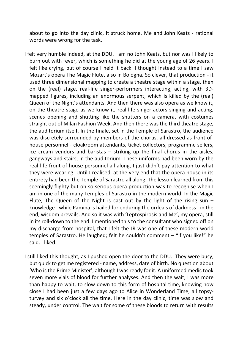about to go into the day clinic, it struck home. Me and John Keats - rational words were wrong for the task.

- I felt very humble indeed, at the DDU. I am no John Keats, but nor was I likely to burn out with fever, which is something he did at the young age of 26 years. I felt like crying, but of course I held it back. I thought instead to a time I saw Mozart's opera The Magic Flute, also in Bologna. So clever, that production - it used three dimensional mapping to create a theatre stage within a stage, then on the (real) stage, real-life singer-performers interacting, acting, with 3Dmapped figures, including an enormous serpent, which is killed by the (real) Queen of the Night's attendants. And then there was also opera as we know it, on the theatre stage as we know it, real-life singer-actors singing and acting, scenes opening and shutting like the shutters on a camera, with costumes straight out of Milan Fashion Week. And then there was the third theatre stage, the auditorium itself. In the finale, set in the Temple of Sarastro, the audience was discretely surrounded by members of the chorus, all dressed as front-ofhouse personnel - cloakroom attendants, ticket collectors, programme sellers, ice cream vendors and baristas – striking up the final chorus in the aisles, gangways and stairs, in the auditorium. These uniforms had been worn by the real-life front of house personnel all along, I just didn't pay attention to what they were wearing. Until I realised, at the very end that the opera house in its entirety had been the Temple of Sarastro all along. The lesson learned from this seemingly flighty but oh-so serious opera production was to recognise when I am in one of the many Temples of Sarastro in the modern world. In the Magic Flute, The Queen of the Night is cast out by the light of the rising sun  $$ knowledge - while Pamina is hailed for enduring the ordeals of darkness - in the end, wisdom prevails. And so it was with 'Leptospirosis and Me', my opera, still in its roll-down to the end. I mentioned this to the consultant who signed off on my discharge from hospital, that I felt the JR was one of these modern world temples of Sarastro. He laughed; felt he couldn't comment – "if you like!" he said. I liked.
- I still liked this thought, as I pushed open the door to the DDU. They were busy, but quick to get me registered - name, address, date of birth. No question about 'Who is the Prime Minister', although I was ready for it. A uniformed medic took seven more vials of blood for further analyses. And then the wait; I was more than happy to wait, to slow down to this form of hospital time, knowing how close I had been just a few days ago to Alice in Wonderland Time, all topsyturvey and six o'clock all the time. Here in the day clinic, time was slow and steady, under control. The wait for some of these bloods to return with results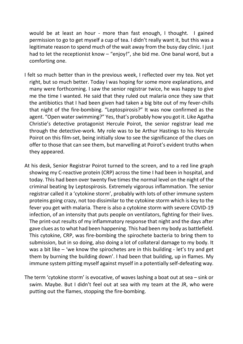would be at least an hour - more than fast enough, I thought. I gained permission to go to get myself a cup of tea. I didn't really want it, but this was a legitimate reason to spend much of the wait away from the busy day clinic. I just had to let the receptionist know – "enjoy!", she bid me. One banal word, but a comforting one.

- I felt so much better than in the previous week, I reflected over my tea. Not yet right, but so much better. Today I was hoping for some more explanations, and many were forthcoming. I saw the senior registrar twice, he was happy to give me the time I wanted. He said that they ruled out malaria once they saw that the antibiotics that I had been given had taken a big bite out of my fever-chills that night of the fire-bombing. "Leptospirosis?" It was now confirmed as the agent. "Open water swimming?" Yes, that's probably how you got it. Like Agatha Christie's detective protagonist Hercule Poirot, the senior registrar lead me through the detective-work. My role was to be Arthur Hastings to his Hercule Poirot on this film-set, being initially slow to see the significance of the clues on offer to those that can see them, but marvelling at Poirot's evident truths when they appeared.
- At his desk, Senior Registrar Poirot turned to the screen, and to a red line graph showing my C-reactive protein (CRP) across the time I had been in hospital, and today. This had been over twenty five times the normal level on the night of the criminal beating by Leptospirosis. Extremely vigorous inflammation. The senior registrar called it a 'cytokine storm', probably with lots of other immune system proteins going crazy, not too dissimilar to the cytokine storm which is key to the fever you get with malaria. There is also a cytokine storm with severe COVID-19 infection, of an intensity that puts people on ventilators, fighting for their lives. The print-out results of my inflammatory response that night and the days after gave clues as to what had been happening. This had been my body as battlefield. This cytokine, CRP, was fire-bombing the spirochete bacteria to bring them to submission, but in so doing, also doing a lot of collateral damage to my body. It was a bit like – 'we know the spirochetes are in this building - let's try and get them by burning the building down'. I had been that building, up in flames. My immune system pitting myself against myself in a potentially self-defeating way.
- The term 'cytokine storm' is evocative, of waves lashing a boat out at sea sink or swim. Maybe. But I didn't feel out at sea with my team at the JR, who were putting out the flames, stopping the fire-bombing.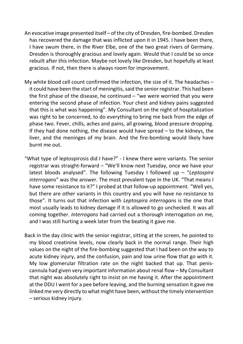- An evocative image presented itself of the city of Dresden, fire-bombed. Dresden has recovered the damage that was inflicted upon it in 1945. I have been there, I have swum there, in the River Elbe, one of the two great rivers of Germany. Dresden is thoroughly gracious and lovely again. Would that I could be so once rebuilt after this infection. Maybe not lovely like Dresden, but hopefully at least gracious. If not, then there is always room for improvement.
- My white blood cell count confirmed the infection, the size of it. The headaches it could have been the start of meningitis, said the senior registrar. This had been the first phase of the disease, he continued  $-$  "we were worried that you were entering the second phase of infection. Your chest and kidney pains suggested that this is what was happening". My Consultant on the night of hospitalization was right to be concerned, to do everything to bring me back from the edge of phase two. Fever, chills, aches and pains, all growing, blood pressure dropping. If they had done nothing, the disease would have spread  $-$  to the kidneys, the liver, and the meninges of my brain. And the fire-bombing would likely have burnt me out.
- "What type of leptospirosis did I have?" I knew there were variants. The senior registrar was straight-forward – "We'll know next Tuesday, once we have your latest bloods analysed". The following Tuesday I followed up – "*Leptospira interrogans*" was the answer. The most prevalent type in the UK. "That means I have some resistance to it?" I probed at that follow-up appointment. "Well yes, but there are other variants in this country and you will have no resistance to those". It turns out that infection with *Leptospira interrogans* is the one that most usually leads to kidney damage if it is allowed to go unchecked. It was all coming together. *Interrogans* had carried out a thorough interrogation on me, and I was still hurting a week later from the beating it gave me.
- Back in the day clinic with the senior registrar, sitting at the screen, he pointed to my blood creatinine levels, now clearly back in the normal range. Their high values on the night of the fire-bombing suggested that I had been on the way to acute kidney injury, and the confusion, pain and low urine flow that go with it. My low glomerular filtration rate on the night backed that up. That peniscannula had given very important information about renal flow – My Consultant that night was absolutely right to insist on me having it. After the appointment at the DDU I went for a pee before leaving, and the burning sensation it gave me linked me very directly to what might have been, without the timely intervention – serious kidney injury.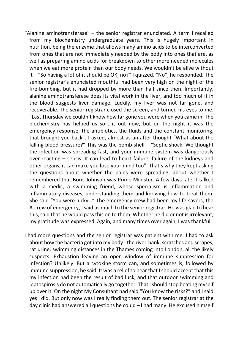- "Alanine aminotransferase"  $-$  the senior registrar enunciated. A term I recalled from my biochemistry undergraduate years. This is hugely important in nutrition, being the enzyme that allows many amino acids to be interconverted from ones that are not immediately needed by the body into ones that are, as well as preparing amino acids for breakdown to other more needed molecules when we eat more protein than our body needs. We wouldn't be alive without it – "So having a lot of it should be OK, no?" I quizzed. "No", he responded. The senior registrar's enunciated mouthful had been very high on the night of the fire-bombing, but it had dropped by more than half since then. Importantly, alanine aminotransferase does its vital work in the liver, and too much of it in the blood suggests liver damage. Luckily, my liver was not far gone, and recoverable. The senior registrar closed the screen, and turned his eyes to me. "Last Thursday we couldn't know how far gone you were when you came in. The biochemistry has helped us sort it out now, but on the night it was the emergency response, the antibiotics, the fluids and the constant monitoring, that brought you back". I asked, almost as an after-thought "What about the falling blood pressure?" This was the bomb-shell – "Septic shock. We thought the infection was spreading fast, and your immune system was dangerously over-reacting – sepsis. It can lead to heart failure, failure of the kidneys and other organs, it can make you lose your mind too". That's why they kept asking the questions about whether the pains were spreading, about whether I remembered that Boris Johnson was Prime Minister. A few days later I talked with a medic, a swimming friend, whose specialism is inflammation and inflammatory diseases, understanding them and knowing how to treat them. She said "You were lucky…" The emergency crew had been my life-savers, the A-crew of emergency, I said as much to the senior registrar. He was glad to hear this, said that he would pass this on to them. Whether he did or not is irrelevant, my gratitude was expressed. Again, and many times over again, I was thankful.
- I had more questions and the senior registrar was patient with me. I had to ask about how the bacteria got into my body - the river-bank, scratches and scrapes, rat urine, swimming distances in the Thames coming into London, all the likely suspects. Exhaustion leaving an open window of immune suppression for infection? Unlikely. But a cytokine storm can, and sometimes is, followed by immune suppression, he said. It was a relief to hear that I should accept that this my infection had been the result of bad luck, and that outdoor swimming and leptospirosis do not automatically go together. That I should stop beating myself up over it. On the night My Consultant had said "You know the risks?" and I said yes I did. But only now was I really finding them out. The senior registrar at the day clinic had answered all questions he could – I had many. He excused himself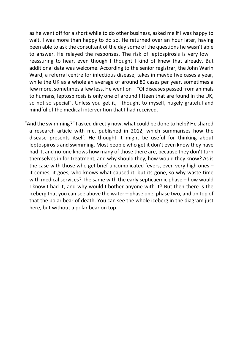as he went off for a short while to do other business, asked me if I was happy to wait. I was more than happy to do so. He returned over an hour later, having been able to ask the consultant of the day some of the questions he wasn't able to answer. He relayed the responses. The risk of leptospirosis is very low – reassuring to hear, even though I thought I kind of knew that already. But additional data was welcome. According to the senior registrar, the John Warin Ward, a referral centre for infectious disease, takes in maybe five cases a year, while the UK as a whole an average of around 80 cases per year, sometimes a few more, sometimes a few less. He went on – "Of diseases passed from animals to humans, leptospirosis is only one of around fifteen that are found in the UK, so not so special". Unless you get it, I thought to myself, hugely grateful and mindful of the medical intervention that I had received.

"And the swimming?" I asked directly now, what could be done to help? He shared a research article with me, published in 2012, which summarises how the disease presents itself. He thought it might be useful for thinking about leptospirosis and swimming. Most people who get it don't even know they have had it, and no-one knows how many of those there are, because they don't turn themselves in for treatment, and why should they, how would they know? As is the case with those who get brief uncomplicated fevers, even very high ones – it comes, it goes, who knows what caused it, but its gone, so why waste time with medical services? The same with the early septicaemic phase – how would I know I had it, and why would I bother anyone with it? But then there is the iceberg that you can see above the water – phase one, phase two, and on top of that the polar bear of death. You can see the whole iceberg in the diagram just here, but without a polar bear on top.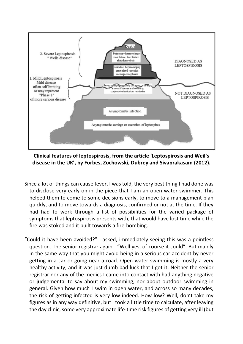

**Clinical features of leptospirosis, from the article 'Leptospirosis and Weil's disease in the UK', by Forbes, Zochowski, Dubrey and Sivaprakasam (2012).** 

- Since a lot of things can cause fever, I was told, the very best thing I had done was to disclose very early on in the piece that I am an open water swimmer. This helped them to come to some decisions early, to move to a management plan quickly, and to move towards a diagnosis, confirmed or not at the time. If they had had to work through a list of possibilities for the varied package of symptoms that leptospirosis presents with, that would have lost time while the fire was stoked and it built towards a fire-bombing.
- "Could it have been avoided?" I asked, immediately seeing this was a pointless question. The senior registrar again - "Well yes, of course it could". But mainly in the same way that you might avoid being in a serious car accident by never getting in a car or going near a road. Open water swimming is mostly a very healthy activity, and it was just dumb bad luck that I got it. Neither the senior registrar nor any of the medics I came into contact with had anything negative or judgemental to say about my swimming, nor about outdoor swimming in general. Given how much I swim in open water, and across so many decades, the risk of getting infected is very low indeed. How low? Well, don't take my figures as in any way definitive, but I took a little time to calculate, after leaving the day clinic, some very approximate life-time risk figures of getting very ill (but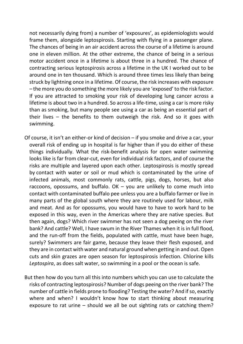not necessarily dying from) a number of 'exposures', as epidemiologists would frame them, alongside leptospirosis. Starting with flying in a passenger plane. The chances of being in an air accident across the course of a lifetime is around one in eleven million. At the other extreme, the chance of being in a serious motor accident once in a lifetime is about three in a hundred. The chance of contracting serious leptospirosis across a lifetime in the UK I worked out to be around one in ten thousand. Which is around three times less likely than being struck by lightning once in a lifetime. Of course, the risk increases with exposure – the more you do something the more likely you are 'exposed' to the risk factor. If you are attracted to smoking your risk of developing lung cancer across a lifetime is about two in a hundred. So across a life-time, using a car is more risky than as smoking, but many people see using a car as being an essential part of their lives – the benefits to them outweigh the risk. And so it goes with swimming.

Of course, it isn't an either-or kind of decision – if you smoke and drive a car, your overall risk of ending up in hospital is far higher than if you do either of these things individually. What the risk-benefit analysis for open water swimming looks like is far from clear-cut, even for individual risk factors, and of course the risks are multiple and layered upon each other. Leptospirosis is mostly spread by contact with water or soil or mud which is contaminated by the urine of infected animals, most commonly rats, cattle, pigs, dogs, horses, but also raccoons, opossums, and buffalo.  $OK - you$  are unlikely to come much into contact with contaminated buffalo pee unless you are a buffalo farmer or live in many parts of the global south where they are routinely used for labour, milk and meat. And as for opossums, you would have to have to work hard to be exposed in this way, even in the Americas where they are native species. But then again, dogs? Which river swimmer has not seen a dog peeing on the river bank? And cattle? Well, I have swum in the River Thames when it is in full flood, and the run-off from the fields, populated with cattle, must have been huge, surely? Swimmers are fair game, because they leave their flesh exposed, and they are in contact with water and natural ground when getting in and out. Open cuts and skin grazes are open season for leptospirosis infection. Chlorine kills *Leptospira*, as does salt water, so swimming in a pool or the ocean is safe.

But then how do you turn all this into numbers which you can use to calculate the risks of contracting leptospirosis? Number of dogs peeing on the river bank? The number of cattle in fields prone to flooding? Testing the water? And if so, exactly where and when? I wouldn't know how to start thinking about measuring exposure to rat urine – should we all be out sighting rats or catching them?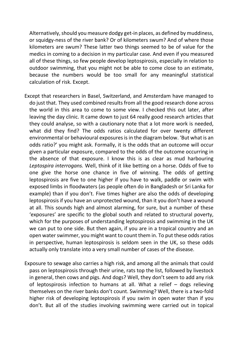Alternatively, should you measure dodgy get-in places, as defined by muddiness, or squidgy-ness of the river bank? Or of kilometers swum? And of where those kilometers are swum? These latter two things seemed to be of value for the medics in coming to a decision in my particular case. And even if you measured all of these things, so few people develop leptospirosis, especially in relation to outdoor swimming, that you might not be able to come close to an estimate, because the numbers would be too small for any meaningful statistical calculation of risk. Except.

- Except that researchers in Basel, Switzerland, and Amsterdam have managed to do just that. They used combined results from all the good research done across the world in this area to come to some view. I checked this out later, after leaving the day clinic. It came down to just 64 really good research articles that they could analyse, so with a cautionary note that a lot more work is needed, what did they find? The odds ratios calculated for over twenty different environmental or behavioural exposures is in the diagram below. 'But what is an odds ratio?' you might ask. Formally, it is the odds that an outcome will occur given a particular exposure, compared to the odds of the outcome occurring in the absence of that exposure. I know this is as clear as mud harbouring *Leptospira interrogans.* Well, think of it like betting on a horse. Odds of five to one give the horse one chance in five of winning. The odds of getting leptospirosis are five to one higher if you have to walk, paddle or swim with exposed limbs in floodwaters (as people often do in Bangladesh or Sri Lanka for example) than if you don't. Five times higher are also the odds of developing leptospirosis if you have an unprotected wound, than it you don't have a wound at all. This sounds high and almost alarming, for sure, but a number of these 'exposures' are specific to the global south and related to structural poverty, which for the purposes of understanding leptospirosis and swimming in the UK we can put to one side. But then again, if you are in a tropical country and an open water swimmer, you might want to count them in. To put these odds ratios in perspective, human leptospirosis is seldom seen in the UK, so these odds actually only translate into a very small number of cases of the disease.
- Exposure to sewage also carries a high risk, and among all the animals that could pass on leptospirosis through their urine, rats top the list, followed by livestock in general, then cows and pigs. And dogs? Well, they don't seem to add any risk of leptospirosis infection to humans at all. What a relief – dogs relieving themselves on the river banks don't count. Swimming? Well, there is a two-fold higher risk of developing leptospirosis if you swim in open water than if you don't. But all of the studies involving swimming were carried out in topical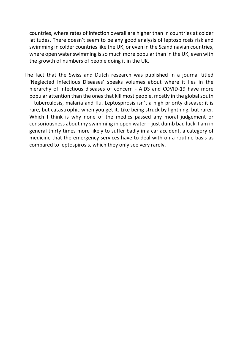countries, where rates of infection overall are higher than in countries at colder latitudes. There doesn't seem to be any good analysis of leptospirosis risk and swimming in colder countries like the UK, or even in the Scandinavian countries, where open water swimming is so much more popular than in the UK, even with the growth of numbers of people doing it in the UK.

The fact that the Swiss and Dutch research was published in a journal titled 'Neglected Infectious Diseases' speaks volumes about where it lies in the hierarchy of infectious diseases of concern - AIDS and COVID-19 have more popular attention than the ones that kill most people, mostly in the global south – tuberculosis, malaria and flu. Leptospirosis isn't a high priority disease; it is rare, but catastrophic when you get it. Like being struck by lightning, but rarer. Which I think is why none of the medics passed any moral judgement or censoriousness about my swimming in open water – just dumb bad luck. I am in general thirty times more likely to suffer badly in a car accident, a category of medicine that the emergency services have to deal with on a routine basis as compared to leptospirosis, which they only see very rarely.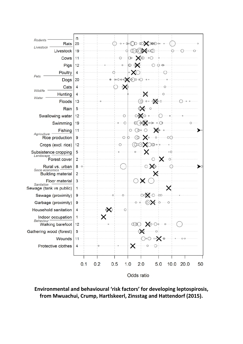

**Environmental and behavioural 'risk factors' for developing leptospirosis, from Mwuachui, Crump, Hartlskeerl, Zinsstag and Hattendorf (2015).**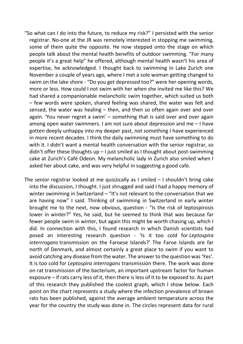- "So what can I do into the future, to reduce my risk?" I persisted with the senior registrar. No-one at the JR was remotely interested in stopping me swimming, some of them quite the opposite. He now stepped onto the stage on which people talk about the mental health benefits of outdoor swimming. "For many people it's a great help" he offered, although mental health wasn't his area of expertise, he acknowledged. I thought back to swimming in Lake Zurich one November a couple of years ago, where I met a sole woman getting changed to swim on the lake shore - "Do you get depressed too?" were her opening words, more or less. How could I not swim with her when she invited me like this? We had shared a companionable melancholic swim together, which suited us both – few words were spoken, shared feeling was shared, the water was felt and sensed, the water was healing – then, and then so often again over and over again. 'You never regret a swim' – something that is said over and over again among open water swimmers. I am not sure about depression and me – I have gotten deeply unhappy into my deeper past, not something I have experienced in more recent decades. I think the daily swimming must have something to do with it. I didn't want a mental health conversation with the senior registrar, so didn't offer these thoughts up  $-1$  just smiled as I thought about post-swimming cake at Zurich's Café Odeon. My melancholic lady in Zurich also smiled when I asked her about cake, and was very helpful in suggesting a good cafe.
- The senior registrar looked at me quizzically as I smiled I shouldn't bring cake into the discussion, I thought. I just shrugged and said I had a happy memory of winter swimming in Switzerland – "It's not relevant to the conversation that we are having now" I said. Thinking of swimming in Switzerland in early winter brought me to the next, now obvious, question - "Is the risk of leptospirosis lower in winter?" Yes, he said, but he seemed to think that was because far fewer people swim in winter, but again this might be worth chasing up, which I did. In connection with this, I found research in which Danish scientists had posed an interesting research question - 'Is it too cold for *Leptospira interrrogans* transmission on the Faroese Islands?' The Faroe Islands are far north of Denmark, and almost certainly a great place to swim if you want to avoid catching any disease from the water. The answer to the question was 'Yes'. It is too cold for *Leptospira interrogans* transmission there. The work was done on rat transmission of the bacterium, an important upstream factor for human exposure – if rats carry less of it, then there is less of it to be exposed to. As part of this research they published the coolest graph, which I show below. Each point on the chart represents a study where the infection prevalence of brown rats has been published, against the average ambient temperature across the year for the country the study was done in. The circles represent data for rural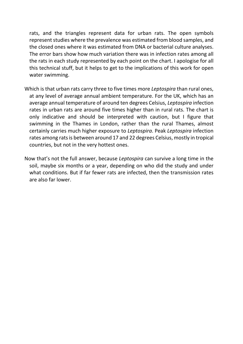rats, and the triangles represent data for urban rats. The open symbols represent studies where the prevalence was estimated from blood samples, and the closed ones where it was estimated from DNA or bacterial culture analyses. The error bars show how much variation there was in infection rates among all the rats in each study represented by each point on the chart. I apologise for all this technical stuff, but it helps to get to the implications of this work for open water swimming.

- Which is that urban rats carry three to five times more *Leptospira* than rural ones, at any level of average annual ambient temperature. For the UK, which has an average annual temperature of around ten degrees Celsius, *Leptospira* infection rates in urban rats are around five times higher than in rural rats. The chart is only indicative and should be interpreted with caution, but I figure that swimming in the Thames in London, rather than the rural Thames, almost certainly carries much higher exposure to *Leptospira*. Peak *Leptospira* infection rates among rats is between around 17 and 22 degrees Celsius, mostly in tropical countries, but not in the very hottest ones.
- Now that's not the full answer, because *Leptospira* can survive a long time in the soil, maybe six months or a year, depending on who did the study and under what conditions. But if far fewer rats are infected, then the transmission rates are also far lower.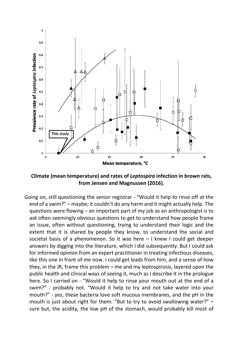

**Climate (mean temperature) and rates of** *Leptospira* **infection in brown rats, from Jensen and Magnussen (2016).** 

Going on, still questioning the senior registrar - "Would it help to rinse off at the end of a swim?" – maybe; it couldn't do any harm and it might actually help. The questions were flowing – an important part of my job as an anthropologist is to ask often seemingly obvious questions to get to understand how people frame an issue, often without questioning, trying to understand their logic and the extent that it is shared by people they know, to understand the social and societal basis of a phenomenon. So it was here – I knew I could get deeper answers by digging into the literature, which I did subsequently. But I could ask for informed opinion from an expert practitioner in treating infectious diseases, like this one in front of me now. I could get leads from him, and a sense of how they, in the JR, frame this problem – me and my leptospirosis, layered upon the public health and clinical ways of seeing it, much as I describe it in the prologue here. So I carried on - "Would it help to rinse your mouth out at the end of a swim?" - probably not. "Would it help to try and not take water into your mouth?" - yes, these bacteria love soft mucous membranes, and the pH in the mouth is just about right for them. "But to try to avoid swallowing water?" – sure but, the acidity, the low pH of the stomach, would probably kill most of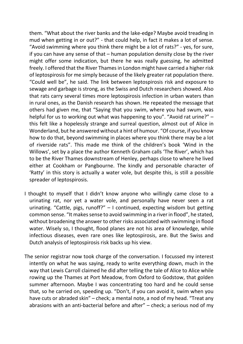them. "What about the river banks and the lake-edge? Maybe avoid treading in mud when getting in or out?" - that could help, in fact it makes a lot of sense. "Avoid swimming where you think there might be a lot of rats?" - yes, for sure, if you can have any sense of that – human population density close by the river might offer some indication, but there he was really guessing, he admitted freely. I offered that the River Thames in London might have carried a higher risk of leptospirosis for me simply because of the likely greater rat population there. "Could well be", he said. The link between leptospirosis risk and exposure to sewage and garbage is strong, as the Swiss and Dutch researchers showed. Also that rats carry several times more leptospirosis infection in urban waters than in rural ones, as the Danish research has shown. He repeated the message that others had given me, that "Saying that you swim, where you had swum, was helpful for us to working out what was happening to you". "Avoid rat urine?" – this felt like a hopelessly strange and surreal question, almost out of Alice in Wonderland, but he answered without a hint of humour. "Of course, if you know how to do that, beyond swimming in places where you think there may be a lot of riverside rats". This made me think of the children's book 'Wind in the Willows', set by a place the author Kenneth Graham calls 'The River', which has to be the River Thames downstream of Henley, perhaps close to where he lived either at Cookham or Pangbourne. The kindly and personable character of 'Ratty' in this story is actually a water vole, but despite this, is still a possible spreader of leptospirosis.

- I thought to myself that I didn't know anyone who willingly came close to a urinating rat, nor yet a water vole, and personally have never seen a rat urinating. "Cattle, pigs, runoff?" – I continued, expecting wisdom but getting common sense. "It makes sense to avoid swimming in a river in flood", he stated, without broadening the answer to other risks associated with swimming in flood water. Wisely so, I thought, flood planes are not his area of knowledge, while infectious diseases, even rare ones like leptospirosis, are. But the Swiss and Dutch analysis of leptospirosis risk backs up his view.
- The senior registrar now took charge of the conversation. I focussed my interest intently on what he was saying, ready to write everything down, much in the way that Lewis Carroll claimed he did after telling the tale of Alice to Alice while rowing up the Thames at Port Meadow, from Oxford to Godstow, that golden summer afternoon. Maybe I was concentrating too hard and he could sense that, so he carried on, speeding up. "Don't, if you can avoid it, swim when you have cuts or abraded skin" – check; a mental note, a nod of my head. "Treat any abrasions with an anti-bacterial before and after" – check; a serious nod of my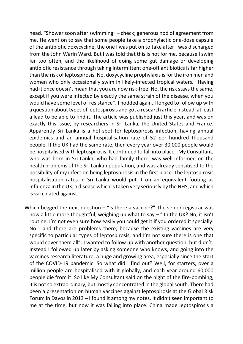head. "Shower soon after swimming" – check; generous nod of agreement from me. He went on to say that some people take a prophylactic one-dose capsule of the antibiotic doxycycline, the one I was put on to take after I was discharged from the John Warin Ward. But I was told that this is not for me, because I swim far too often, and the likelihood of doing some gut damage or developing antibiotic resistance through taking intermittent one-off antibiotics is far higher than the risk of leptospirosis. No, doxycycline prophylaxis is for the iron men and women who only occasionally swim in likely-infected tropical waters. "Having had it once doesn't mean that you are now risk-free. No, the risk stays the same, except if you were infected by exactly the same strain of the disease, when you would have some level of resistance". I nodded again. I longed to follow up with a question about types of leptospirosis and got a research article instead, at least a lead to be able to find it. The article was published just this year, and was on exactly this issue, by researchers in Sri Lanka, the United States and France. Apparently Sri Lanka is a hot-spot for leptospirosis infection, having annual epidemics and an annual hospitalisation rate of 52 per hundred thousand people. If the UK had the same rate, then every year over 30,000 people would be hospitalised with leptospirosis. It continued to fall into place - My Consultant, who was born in Sri Lanka, who had family there, was well-informed on the health problems of the Sri Lankan population, and was already sensitised to the possibility of my infection being leptospirosis in the first place. The leptospirosis hospitalisation rates in Sri Lanka would put it on an equivalent footing as influenza in the UK, a disease which is taken very seriously by the NHS, and which is vaccinated against.

Which begged the next question  $-$  "Is there a vaccine?" The senior registrar was now a little more thoughtful, weighing up what to say  $-$  " In the UK? No, it isn't routine, I'm not even sure how easily you could get it if you ordered it specially. No - and there are problems there, because the existing vaccines are very specific to particular types of leptospirosis, and I'm not sure there is one that would cover them all". I wanted to follow up with another question, but didn't. Instead I followed up later by asking someone who knows, and going into the vaccines research literature, a huge and growing area, especially since the start of the COVID-19 pandemic. So what did I find out? Well, for starters, over a million people are hospitalised with it globally, and each year around 60,000 people die from it. So like My Consultant said on the night of the fire-bombing, it is not so extraordinary, but mostly concentrated in the global south. There had been a presentation on human vaccines against leptospirosis at the Global Risk Forum in Davos in 2013 – I found it among my notes. It didn't seen important to me at the time, but now it was falling into place. China made leptospirosis a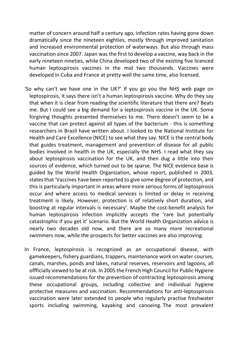matter of concern around half a century ago, infection rates having gone down dramatically since the nineteen eighties, mostly through improved sanitation and increased environmental protection of waterways. But also through mass vaccination since 2007. Japan was the first to develop a vaccine, way back in the early nineteen nineties, while China developed two of the existing five licenced human leptospirosis vaccines in the mid two thousands. Vaccines were developed in Cuba and France at pretty well the same time, also licensed.

- 'So why can't we have one in the UK?' If you go you the NHS web page on leptospirosis, it says there isn't a human leptospirosis vaccine. Why do they say that when it is clear from reading the scientific literature that there are? Beats me. But I could see a big demand for a leptospirosis vaccine in the UK. Some forgiving thoughts presented themselves to me. There doesn't seem to be a vaccine that can protect against all types of the bacterium - this is something researchers in Brazil have written about. I looked to the National Institute for Health and Care Excellence (NICE) to see what they say. NICE is the central body that guides treatment, management and prevention of disease for all public bodies involved in health in the UK, especially the NHS. I read what they say about leptospirosis vaccination for the UK, and then dug a little into their sources of evidence, which turned out to be sparse. The NICE evidence base is guided by the World Health Organization, whose report, published in 2003, states that 'Vaccines have been reported to give some degree of protection, and this is particularly important in areas where more serious forms of leptospirosis occur and where access to medical services is limited or delay in receiving treatment is likely. However, protection is of relatively short duration, and boosting at regular intervals is necessary'. Maybe the cost-benefit analysis for human leptospirosis infection implicitly accepts the 'rare but potentially catastrophic if you get it' scenario. But the World Health Organization advice is nearly two decades old now, and there are so many more recreational swimmers now, while the prospects for better vaccines are also improving.
- In France, leptospirosis is recognized as an occupational disease, with gamekeepers, fishery guardians, trappers, maintenance work on water courses, canals, marshes, ponds and lakes, natural reserves, reservoirs and lagoons, all offficially viewed to be at risk. In 2005 the French High Council for Public Hygiene issued recommendations for the prevention of contracting leptospirosis among these occupational groups, including collective and individual hygiene protective measures and vaccination. Recommendations for anti-leptospirosis vaccination were later extended to people who regularly practise freshwater sports including swimming, kayaking and canoeing. The most prevalent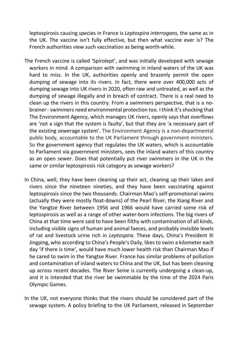leptospirosis causing species in France is *Leptospira interrogans,* the same as in the UK. The vaccine isn't fully effective, but then what vaccine ever is? The French authorities view such vaccination as being worth-while.

- The French vaccine is called 'Spirolept', and was initially developed with sewage workers in mind. A comparison with swimming in inland waters of the UK was hard to miss. In the UK, authorities openly and brazenly permit the open dumping of sewage into its rivers. In fact, there were over 400,000 acts of dumping sewage into UK rivers in 2020, often raw and untreated, as well as the dumping of sewage illegally and in breach of contract. There is a real need to clean up the rivers in this country. From a swimmers perspective, that is a nobrainer - swimmers need environmental protection too. I think it's shocking that The Environment Agency, which manages UK rivers, openly says that overflows are 'not a sign that the system is faulty', but that they are 'a necessary part of the existing sewerage system'. The Environment Agency is a non-departmental public body, accountable to the UK Parliament through government ministers. So the government agency that regulates the UK waters, which is accountable to Parliament via government ministers, sees the inland waters of this country as an open sewer. Does that potentially put river swimmers in the UK in the same or similar leptospirosis risk category as sewage workers?
- In China, well, they have been cleaning up their act, cleaning up their lakes and rivers since the nineteen nineties, and they have been vaccinating against leptospirosis since the two thousands. Chairman Mao's self-promotional swims (actually they were mostly float-downs) of the Pearl River, the Xiang River and the Yangtze River between 1956 and 1966 would have carried some risk of leptospirosis as well as a range of other water-born infections. The big rivers of China at that time were said to have been filthy with contamination of all kinds, including visible signs of human and animal faeces, and probably invisible levels of rat and livestock urine rich in *Leptospira*. These days, China's President Xi Jingping, who according to China's People's Daily, likes to swim a kilometer each day 'if there is time', would have much lower health risk than Chairman Mao if he cared to swim in the Yangtse River. France has similar problems of pollution and contamination of inland waters to China and the UK, but has been cleaning up across recent decades. The River Seine is currently undergoing a clean-up, and it is intended that the river be swimmable by the time of the 2024 Paris Olympic Games.
- In the UK, not everyone thinks that the rivers should be considered part of the sewage system. A policy briefing to the UK Parliament, released in September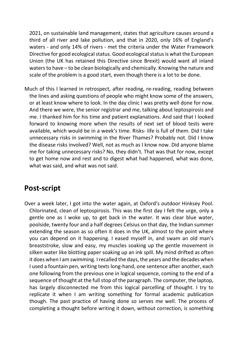2021, on sustainable land management, states that agriculture causes around a third of all river and lake pollution, and that in 2020, only 16% of England's waters - and only 14% of rivers - met the criteria under the Water Framework Directive for good ecological status. Good ecological status is what the European Union (the UK has retained this Directive since Brexit) would want all inland waters to have – to be clean biologically and chemically. Knowing the nature and scale of the problem is a good start, even though there is a lot to be done.

Much of this I learned in retrospect, after reading, re-reading, reading between the lines and asking questions of people who might know some of the answers, or at least know where to look. In the day clinic I was pretty well done for now. And there we were, the senior registrar and me, talking about leptospirosis and me. I thanked him for his time and patient explanations. And said that I looked forward to knowing more when the results of next set of blood tests were available, which would be in a week's time. Risks- life is full of them. Did I take unnecessary risks in swimming in the River Thames? Probably not. Did I know the disease risks involved? Well, not as much as I know now. Did anyone blame me for taking unnecessary risks? No, they didn't. That was that for now, except to get home now and rest and to digest what had happened, what was done, what was said, and what was not said.

## **Post-script**

Over a week later, I got into the water again, at Oxford's outdoor Hinksey Pool. Chlorinated, clean of leptospirosis. This was the first day I felt the urge, only a gentle one as I woke up, to get back in the water. It was clear blue water, poolside, twenty four and a half degrees Celsius on that day, the Indian summer extending the season as so often it does in the UK, almost to the point where you can depend on it happening. I eased myself in, and swam an old man's breaststroke, slow and easy, my muscles soaking up the gentle movement in silken water like blotting paper soaking up an ink spill. My mind drifted as often it does when I am swimming. I recalled the days, the years and the decades when I used a fountain pen, writing texts long-hand, one sentence after another, each one following from the previous one in logical sequence, coming to the end of a sequence of thought at the full stop of the paragraph. The computer, the laptop, has largely disconnected me from this logical parcelling of thought. I try to replicate it when I am writing something for formal academic publication though. The past practice of having done so serves me well. The process of completing a thought before writing it down, without correction, is something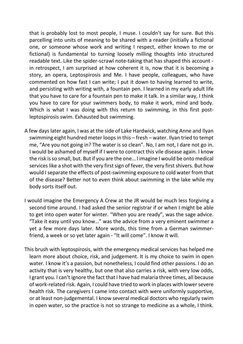that is probably lost to most people, I muse. I couldn't say for sure. But this parcelling into units of meaning to be shared with a reader (initially a fictional one, or someone whose work and writing I respect, either known to me or fictional) is fundamental to turning loosely milling thoughts into structured readable text. Like the spider-scrawl note-taking that has shaped this account in retrospect, I am surprised at how coherent it is, now that it is becoming a story, an opera, Leptospirosis and Me. I have people, colleagues, who have commented on how fast I can write; I put it down to having learned to write, and persisting with writing with, a fountain pen. I learned in my early adult life that you have to care for a fountain pen to make it talk. In a similar way, I think you have to care for your swimmers body, to make it work, mind and body. Which is what I was doing with this return to swimming, in this first postleptospirosis swim. Exhausted but swimming.

- A few days later again, I was at the side of Lake Hardwick, watching Anne and Ilyan swimming eight hundred meter loops in this – fresh – water. Ilyan tried to tempt me, "Are you not going in? The water is so clean". No, I am not, I dare not go in. I would be ashamed of myself if I were to contract this vile disease again. I know the risk is so small, but. But if you are the one… I imagine I would be onto medical services like a shot with the very first sign of fever, the very first shivers. But how would I separate the effects of post-swimming exposure to cold water from that of the disease? Better not to even think about swimming in the lake while my body sorts itself out.
- I would imagine the Emergency A Crew at the JR would be much less forgiving a second time around. I had asked the senior registrar if or when I might be able to get into open water for winter. "When you are ready", was the sage advice. "Take it easy until you know…" was the advice from a very eminent swimmer a yet a few more days later. More words, this time from a German swimmerfriend, a week or so yet later again - "It will come". I know it will.
- This brush with leptospirosis, with the emergency medical services has helped me learn more about choice, risk, and judgement. It is my choice to swim in open water. I know it's a passion, but nonetheless, I could find other passions. I do an activity that is very healthy, but one that also carries a risk, with very low odds, I grant you. I can't ignore the fact that I have had malaria three times, all because of work-related risk. Again, I could have tried to work in places with lower severe health risk. The caregivers I came into contact with were uniformly supportive, or at least non-judgemental. I know several medical doctors who regularly swim in open water, so the practice is not so strange to medicine as a whole, I think.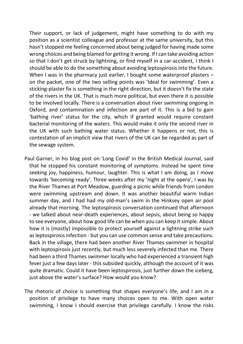Their support, or lack of judgement, might have something to do with my position as a scientist colleague and professor at the same university, but this hasn't stopped me feeling concerned about being judged for having made some wrong choices and being blamed for getting it wrong. If I can take avoiding action so that I don't get struck by lightning, or find myself in a car-accident, I think I should be able to do the something about avoiding leptospirosis into the future. When I was in the pharmacy just earlier, I bought some waterproof plasters – on the packet, one of the two selling points was 'Ideal for swimming'. Even a sticking-plaster fix is something in the right direction, but it doesn't fix the state of the rivers in the UK. That is much more political, but even there it is possible to be involved locally. There is a conversation about river swimming ongoing in Oxford, and contamination and infection are part of it. This is a bid to gain 'bathing river' status for the city, which if granted would require constant bacterial monitoring of the waters. This would make it only the second river in the UK with such bathing water status. Whether it happens or not, this is contestation of an implicit view that rivers of the UK can be regarded as part of the sewage system.

Paul Garner, in his blog post on 'Long Covid' in the British Medical Journal, said that he stopped his constant monitoring of symptoms. Instead he spent time seeking joy, happiness, humour, laughter. This is what I am doing, as I move towards 'becoming ready'. Three weeks after my 'night at the opera', I was by the River Thames at Port Meadow, guarding a picnic while friends from London were swimming upstream and down. It was another beautiful warm Indian summer day, and I had had my old-man's swim in the Hinksey open air pool already that morning. The leptospirosis conversation continued that afternoon - we talked about near-death experiences, about sepsis, about being so happy to see everyone, about how good life can be when you can keep it simple. About how it is (mostly) impossible to protect yourself against a lightning strike such as leptospirosis infection - but you can use common sense and take precautions. Back in the village, there had been another River Thames swimmer in hospital with leptospirosis just recently, but much less severely infected than me. There had been a third Thames swimmer locally who had experienced a transient high fever just a few days later - this subsided quickly, although the account of it was quite dramatic. Could it have been leptospirosis, just further down the iceberg, just above the water's surface? How would you know?

The rhetoric of choice is something that shapes everyone's life, and I am in a position of privilege to have many choices open to me. With open water swimming, I know I should exercise that privilege carefully. I know the risks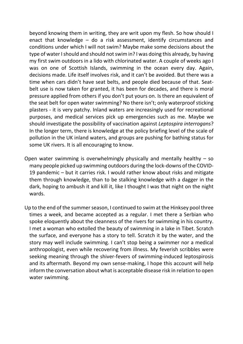beyond knowing them in writing, they are writ upon my flesh. So how should I enact that knowledge – do a risk assessment, identify circumstances and conditions under which I will not swim? Maybe make some decisions about the type of water I should and should not swim in? I was doing this already, by having my first swim outdoors in a lido with chlorinated water. A couple of weeks ago I was on one of Scottish Islands, swimming in the ocean every day. Again, decisions made. Life itself involves risk, and it can't be avoided. But there was a time when cars didn't have seat belts, and people died because of that. Seatbelt use is now taken for granted, it has been for decades, and there is moral pressure applied from others if you don't put yours on. Is there an equivalent of the seat belt for open water swimming? No there isn't; only waterproof sticking plasters - it is very patchy. Inland waters are increasingly used for recreational purposes, and medical services pick up emergencies such as me. Maybe we should investigate the possibility of vaccination against *Leptospira interrogans*? In the longer term, there is knowledge at the policy briefing level of the scale of pollution in the UK inland waters, and groups are pushing for bathing status for some UK rivers. It is all encouraging to know.

- Open water swimming is overwhelmingly physically and mentally healthy  $-$  so many people picked up swimming outdoors during the lock-downs of the COVID-19 pandemic – but it carries risk. I would rather know about risks and mitigate them through knowledge, than to be stalking knowledge with a dagger in the dark, hoping to ambush it and kill it, like I thought I was that night on the night wards.
- Up to the end of the summer season, I continued to swim at the Hinksey pool three times a week, and became accepted as a regular. I met there a Serbian who spoke eloquently about the cleanness of the rivers for swimming in his country. I met a woman who extolled the beauty of swimming in a lake in Tibet. Scratch the surface, and everyone has a story to tell. Scratch it by the water, and the story may well include swimming. I can't stop being a swimmer nor a medical anthropologist, even while recovering from illness. My feverish scribbles were seeking meaning through the shiver-fevers of swimming-induced leptospirosis and its aftermath. Beyond my own sense-making, I hope this account will help inform the conversation about what is acceptable disease risk in relation to open water swimming.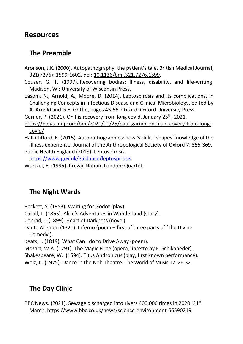#### **Resources**

#### **The Preamble**

Aronson, J,K. (2000). Autopathography: the patient's tale. British Medical Journal, 321(7276): 1599-1602. doi: [10.1136/bmj.321.7276.1599.](https://dx.doi.org/10.1136%2Fbmj.321.7276.1599)

Couser, G. T. (1997). Recovering bodies: Illness, disability, and life-writing. Madison, WI: University of Wisconsin Press.

Easom, N., Arnold, A., Moore, D. (2014). Leptospirosis and its complications. In Challenging Concepts in Infectious Disease and Clinical Microbiology, edited by A. Arnold and G.E. Griffin, pages 45-56. Oxford: Oxford University Press.

Garner, P. (2021). On his recovery from long covid. January 25<sup>th</sup>, 2021.

[https://blogs.bmj.com/bmj/2021/01/25/paul-garner-on-his-recovery-from-long](https://blogs.bmj.com/bmj/2021/01/25/paul-garner-on-his-recovery-from-long-covid/)[covid/](https://blogs.bmj.com/bmj/2021/01/25/paul-garner-on-his-recovery-from-long-covid/)

Hall-Clifford, R. (2015). Autopathographies: how 'sick lit.' shapes knowledge of the illness experience. Journal of the Anthropological Society of Oxford 7: 355-369. Public Health England (2018). Leptospirosis.

<https://www.gov.uk/guidance/leptospirosis>

Wurtzel, E. (1995). Prozac Nation. London: Quartet.

## **The Night Wards**

Beckett, S. (1953). Waiting for Godot (play).

Caroll, L. (1865). Alice's Adventures in Wonderland (story).

Conrad, J. (1899). Heart of Darkness (novel).

Dante Alighieri (1320). Inferno (poem – first of three parts of 'The Divine Comedy').

Keats, J. (1819). What Can I do to Drive Away (poem).

Mozart, W.A. (1791). The Magic Flute (opera, libretto by E. Schikaneder).

Shakespeare, W. (1594). Titus Andronicus (play, first known performance).

Wolz, C. (1975). Dance in the Noh Theatre. The World of Music 17: 26-32.

## **The Day Clinic**

BBC News. (2021). Sewage discharged into rivers 400,000 times in 2020. 31<sup>st</sup> March.<https://www.bbc.co.uk/news/science-environment-56590219>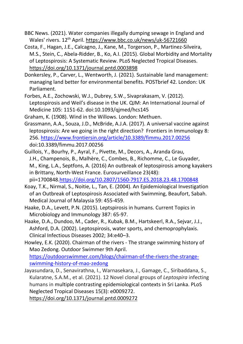- BBC News. (2021). Water companies illegally dumping sewage in England and Wales' rivers. 12<sup>th</sup> April.<https://www.bbc.co.uk/news/uk-56721660>
- Costa, F., Hagan, J.E., Calcagno, J., Kane, M., Torgerson, P., Martinez-Silveira, M.S., Stein, C., Abela-Ridder, B., Ko, A.I. (2015). Global Morbidity and Mortality of Leptospirosis: A Systematic Review. PLoS Neglected Tropical Diseases. <https://doi.org/10.1371/journal.pntd.0003898>
- Donkersley, P., Carver, L., Wentworth, J. (2021). Sustainable land management: managing land better for environmental benefits. POSTbrief 42. London: UK Parliament.
- Forbes, A.E., Zochowski, W.J., Dubrey, S.W., Sivaprakasam, V. (2012). Leptospirosis and Weil's disease in the UK. QJM: An International Journal of Medicine 105: 1151-62. doi:10.1093/qjmed/hcs145

Graham, K. (1908). Wind in the Willows. London: Methuen.

- Grassmann, A.A., Souza, J.D., McBride, A.J.A. (2017). A universal vaccine against leptospirosis: Are we going in the right direction? Frontiers in Immunology 8: 256.<https://www.frontiersin.org/article/10.3389/fimmu.2017.00256> doi:10.3389/fimmu.2017.00256
- [Guillois, Y.,](https://www.eurosurveillance.org/search?value1=Yvonnick+Guillois&option1=author&noRedirect=true) [Bourhy, P.](https://www.eurosurveillance.org/search?value1=Pascale+Bourhy&option1=author&noRedirect=true), [Ayral, F.,](https://www.eurosurveillance.org/search?value1=Florence+Ayral&option1=author&noRedirect=true) [Pivette, M.,](https://www.eurosurveillance.org/search?value1=Mathilde+Pivette&option1=author&noRedirect=true) [Decors, A.,](https://www.eurosurveillance.org/search?value1=Anouk+Decors&option1=author&noRedirect=true) [Aranda Grau,](https://www.eurosurveillance.org/search?value1=Jos%C3%A9+H%C3%A9ctor++Aranda+Grau&option1=author&noRedirect=true)  [J.H.,](https://www.eurosurveillance.org/search?value1=Jos%C3%A9+H%C3%A9ctor++Aranda+Grau&option1=author&noRedirect=true) [Champenois, B.,](https://www.eurosurveillance.org/search?value1=Beno%C3%AEt+Champenois&option1=author&noRedirect=true) [Malhère, C.,](https://www.eurosurveillance.org/search?value1=C%C3%A9lia+Malh%C3%A8re&option1=author&noRedirect=true) [Combes, B.,](https://www.eurosurveillance.org/search?value1=Beno%C3%AEt+Combes&option1=author&noRedirect=true) [Richomme, C.,](https://www.eurosurveillance.org/search?value1=C%C3%A9line+Richomme&option1=author&noRedirect=true) [Le Guyader,](https://www.eurosurveillance.org/search?value1=Marine+Le+Guyader&option1=author&noRedirect=true)  [M.](https://www.eurosurveillance.org/search?value1=Marine+Le+Guyader&option1=author&noRedirect=true), [King, L.A.,](https://www.eurosurveillance.org/search?value1=Lisa+Antoinette+King&option1=author&noRedirect=true) [Septfons, A.](https://www.eurosurveillance.org/search?value1=Alexandra+Septfons&option1=author&noRedirect=true) (2016) An outbreak of leptospirosis among kayakers in Brittany, North-West France. Eurosurveillance 23(48): pii=1700848[.https://doi.org/10.2807/1560-7917.ES.2018.23.48.1700848](https://doi.org/10.2807/1560-7917.ES.2018.23.48.1700848)
- Koay, T.K., Nirmal, S., Noitie, L., Tan, E. (2004). An Epidemiological Investigation of an Outbreak of Leptospirosis Associated with Swimming, Beaufort, Sabah. Medical Journal of Malaysia 59: 455-459.
- Haake, D.A., Levett, P.N. (2015). Leptspirosis in humans. Current Topics in Microbiology and Immunology 387: 65-97.
- Haake, D.A., Dundoo, M., Cader, R., Kubak, B.M., Hartskeerl, R.A., Sejvar, J.J., Ashford, D.A. (2002). Leptospirosis, water sports, and chemoprophylaxis. Clinical Infectious Diseases 2002; 34:e40–3.
- Howley, E.K. (2020). Chairman of the rivers The strange swimming history of Mao Zedong. Outdoor Swimmer 9th April. [https://outdoorswimmer.com/blogs/chairman-of-the-rivers-the-strange](https://outdoorswimmer.com/blogs/chairman-of-the-rivers-the-strange-swimming-history-of-mao-zedong)[swimming-history-of-mao-zedong](https://outdoorswimmer.com/blogs/chairman-of-the-rivers-the-strange-swimming-history-of-mao-zedong)
- Jayasundara, D., Senavirathna, I., Warnasekara, J., Gamage, C., Siribaddana, S., Kularatne, S.A.M., et al. (2021). 12 Novel clonal groups of *Leptospira* infecting humans in multiple contrasting epidemiological contexts in Sri Lanka. PLoS Neglected Tropical Diseases 15(3): e0009272.

<https://doi.org/10.1371/journal.pntd.0009272>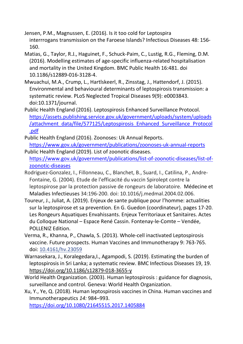Jensen, P.M., Magnussen, E. (2016). Is it too cold for Leptospira interrrogans transmission on the Faroese Islands? Infectious Diseases 48: 156- 160.

- Matias, G., Taylor, R.J., Haguinet, F., Schuck-Paim, C., Lustig, R.G., Fleming, D.M. (2016). Modelling estimates of age-specific influenza-related hospitalisation and mortality in the United Kingdom. BMC Public Health 16:481. doi 10.1186/s12889-016-3128-4.
- Mwuachui, M.A., Crump, L., Hartlskeerl, R., Zinsstag, J., Hattendorf, J. (2015). Environmental and behavioural determinants of leptospirosis transmission: a systematic review. PLoS Neglected Tropical Diseases 9(9): e0003843. doi:10.1371/journal.
- Public Health England (2016). Leptospirosis Enhanced Surveillance Protocol. [https://assets.publishing.service.gov.uk/government/uploads/system/uploads](https://assets.publishing.service.gov.uk/government/uploads/system/uploads/attachment_data/file/577125/Leptospirosis_Enhanced_Surveillance_Protocol.pdf) [/attachment\\_data/file/577125/Leptospirosis\\_Enhanced\\_Surveillance\\_Protocol](https://assets.publishing.service.gov.uk/government/uploads/system/uploads/attachment_data/file/577125/Leptospirosis_Enhanced_Surveillance_Protocol.pdf) [.pdf](https://assets.publishing.service.gov.uk/government/uploads/system/uploads/attachment_data/file/577125/Leptospirosis_Enhanced_Surveillance_Protocol.pdf)
- Public Health England (2016). Zoonoses: Uk Annual Reports. <https://www.gov.uk/government/publications/zoonoses-uk-annual-reports>
- Public Health England (2019). List of zoonotic diseases. [https://www.gov.uk/government/publications/list-of-zoonotic-diseases/list-of](https://www.gov.uk/government/publications/list-of-zoonotic-diseases/list-of-zoonotic-diseases)[zoonotic-diseases](https://www.gov.uk/government/publications/list-of-zoonotic-diseases/list-of-zoonotic-diseases)
- Rodriguez-Gonzalez, I., Fillonneau, C., Blanchet, B., Suard, I., Catilina, P., Andre-Fontaine, G. (2004). Etude de l'efficacité du vaccin Spirolept contre la leptospirose par la protection passive de rongeurs de laboratoire. [Médecine et](https://www.sciencedirect.com/journal/medecine-et-maladies-infectieuses)  [Maladies Infectieuses](https://www.sciencedirect.com/journal/medecine-et-maladies-infectieuses) 34:196-200. doi: 10.1016/j.medmal.2004.02.006.
- Toureur, J., Juliat, A. (2019). Enjeux de sante publique pour l'homme: actualities sur la leptospirose et sa prevention. En G. Guedon (coordinateur), pages 17-20. Les Rongeurs Aquatiques Envahissants. Enjeux Territoriaux et Sanitaires. Actes du Colloque National – Espace René Cassin. Fontenay-le-Comte – Vendée, POLLENIZ Edition.
- Verma, R., Khanna, P., Chawla, S. (2013). Whole-cell inactivated Leptospirosis vaccine. Future prospects. Human Vaccines and Immunotherapy 9: 763-765. doi: [10.4161/hv.23059](https://dx.doi.org/10.4161%2Fhv.23059)
- Warnasekara, J., Koralegedara, I., Agampodi, S. (2019). Estimating the burden of leptospirosis in Sri Lanka; a systematic review. BMC Infectious Diseases 19, 19. <https://doi.org/10.1186/s12879-018-3655-y>
- World Health Organization. (2003). Human leptospirosis : guidance for diagnosis, surveillance and control. Geneva: World Health Organization.

Xu, Y., Ye, Q. (2018). Human leptospirosis vaccines in China. Human vaccines and Immunotherapeutics *14:* 984–993.

<https://doi.org/10.1080/21645515.2017.1405884>